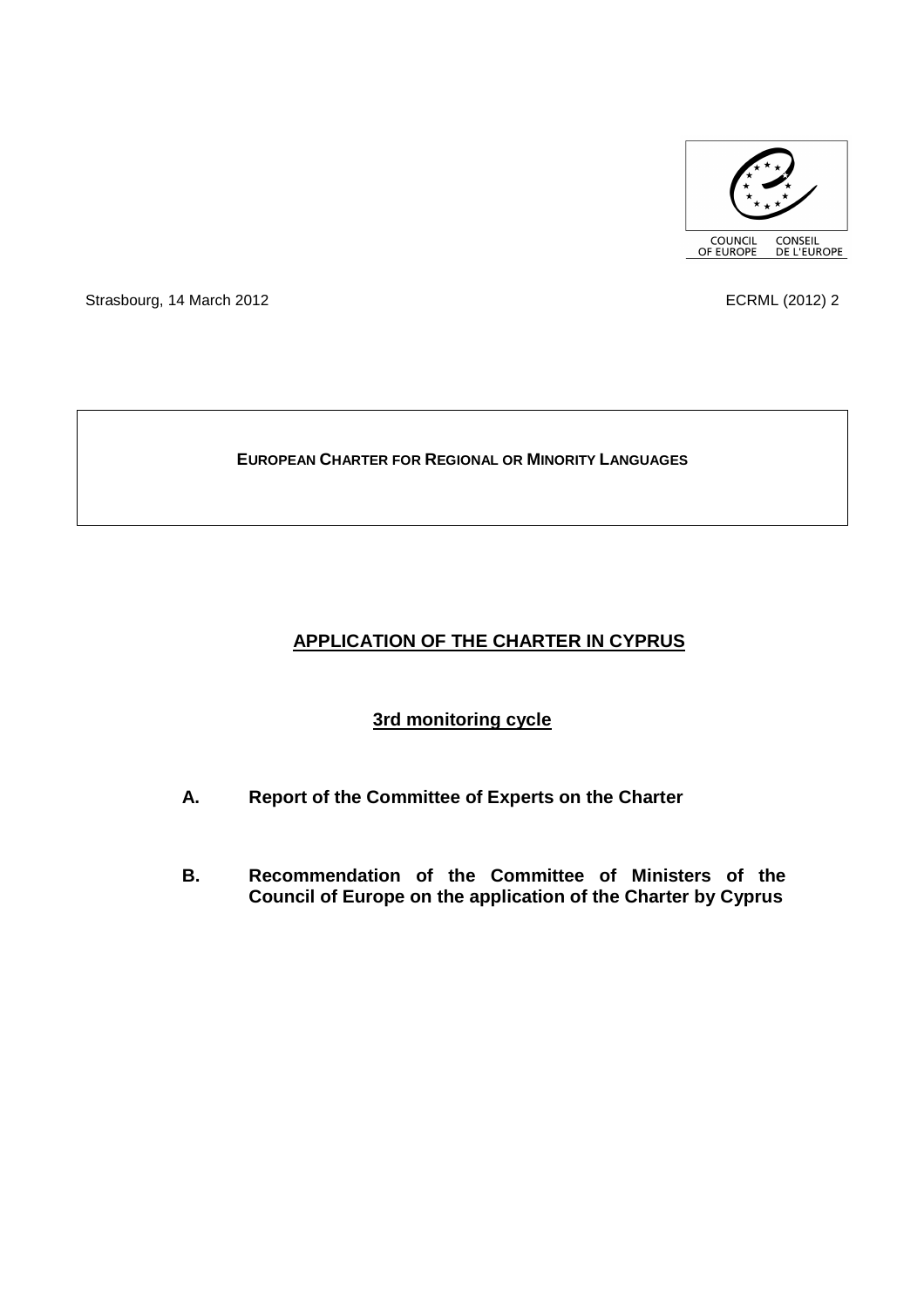

Strasbourg, 14 March 2012 2008 2012 12:30 12:30 2012 12:30 12:30 12:30 12:30 12:30 12:30 12:30 12:30 12:30 12:30 12:30 12:30 12:30 12:30 12:30 12:30 12:30 12:30 12:30 12:30 12:30 12:30 12:30 12:30 12:30 12:30 12:30 12:30 1

## **EUROPEAN CHARTER FOR REGIONAL OR MINORITY LANGUAGES**

# **APPLICATION OF THE CHARTER IN CYPRUS**

# **3rd monitoring cycle**

- **A. Report of the Committee of Experts on the Charter**
- **B. Recommendation of the Committee of Ministers of the Council of Europe on the application of the Charter by Cyprus**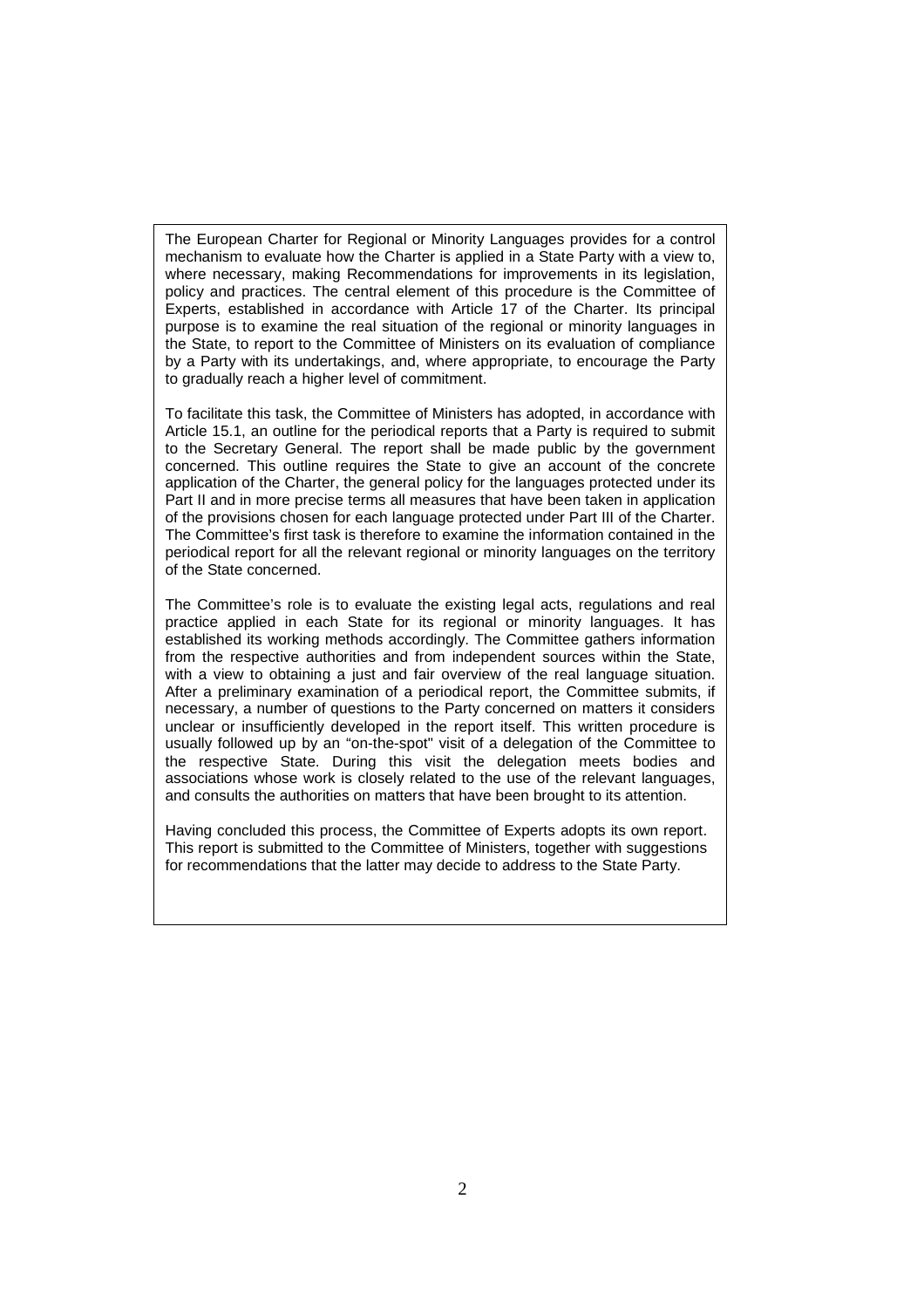The European Charter for Regional or Minority Languages provides for a control mechanism to evaluate how the Charter is applied in a State Party with a view to, where necessary, making Recommendations for improvements in its legislation, policy and practices. The central element of this procedure is the Committee of Experts, established in accordance with Article 17 of the Charter. Its principal purpose is to examine the real situation of the regional or minority languages in the State, to report to the Committee of Ministers on its evaluation of compliance by a Party with its undertakings, and, where appropriate, to encourage the Party to gradually reach a higher level of commitment.

To facilitate this task, the Committee of Ministers has adopted, in accordance with Article 15.1, an outline for the periodical reports that a Party is required to submit to the Secretary General. The report shall be made public by the government concerned. This outline requires the State to give an account of the concrete application of the Charter, the general policy for the languages protected under its Part II and in more precise terms all measures that have been taken in application of the provisions chosen for each language protected under Part III of the Charter. The Committee's first task is therefore to examine the information contained in the periodical report for all the relevant regional or minority languages on the territory of the State concerned.

The Committee's role is to evaluate the existing legal acts, regulations and real practice applied in each State for its regional or minority languages. It has established its working methods accordingly. The Committee gathers information from the respective authorities and from independent sources within the State, with a view to obtaining a just and fair overview of the real language situation. After a preliminary examination of a periodical report, the Committee submits, if necessary, a number of questions to the Party concerned on matters it considers unclear or insufficiently developed in the report itself. This written procedure is usually followed up by an "on-the-spot" visit of a delegation of the Committee to the respective State. During this visit the delegation meets bodies and associations whose work is closely related to the use of the relevant languages, and consults the authorities on matters that have been brought to its attention.

Having concluded this process, the Committee of Experts adopts its own report. This report is submitted to the Committee of Ministers, together with suggestions for recommendations that the latter may decide to address to the State Party.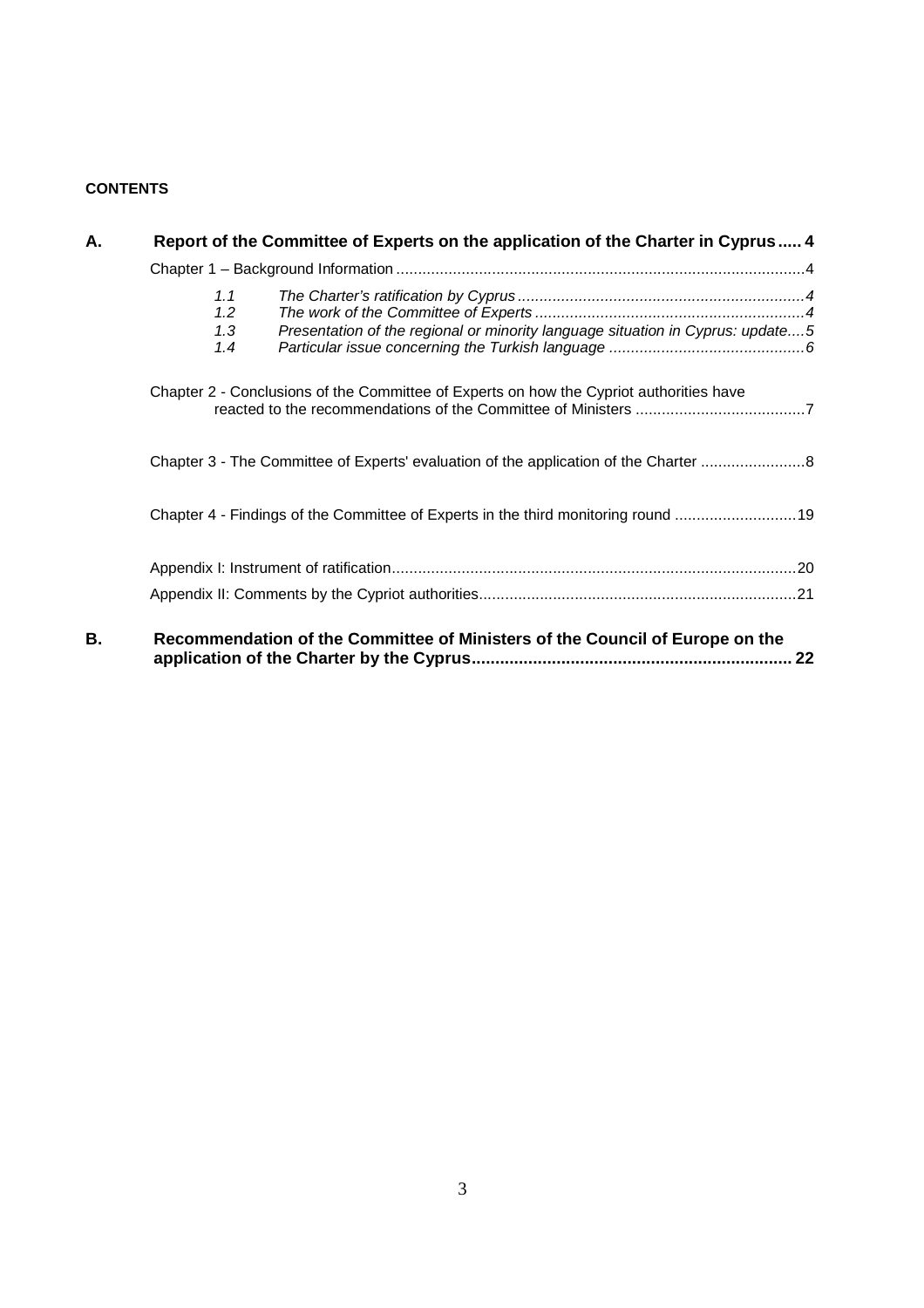## **CONTENTS**

| А. | Report of the Committee of Experts on the application of the Charter in Cyprus  4                          |
|----|------------------------------------------------------------------------------------------------------------|
|    |                                                                                                            |
|    | 1.1<br>1.2<br>Presentation of the regional or minority language situation in Cyprus: update5<br>1.3<br>1.4 |
|    | Chapter 2 - Conclusions of the Committee of Experts on how the Cypriot authorities have                    |
|    | Chapter 3 - The Committee of Experts' evaluation of the application of the Charter                         |
|    | Chapter 4 - Findings of the Committee of Experts in the third monitoring round 19                          |
|    |                                                                                                            |
|    |                                                                                                            |
| В. | Recommendation of the Committee of Ministers of the Council of Europe on the<br>22                         |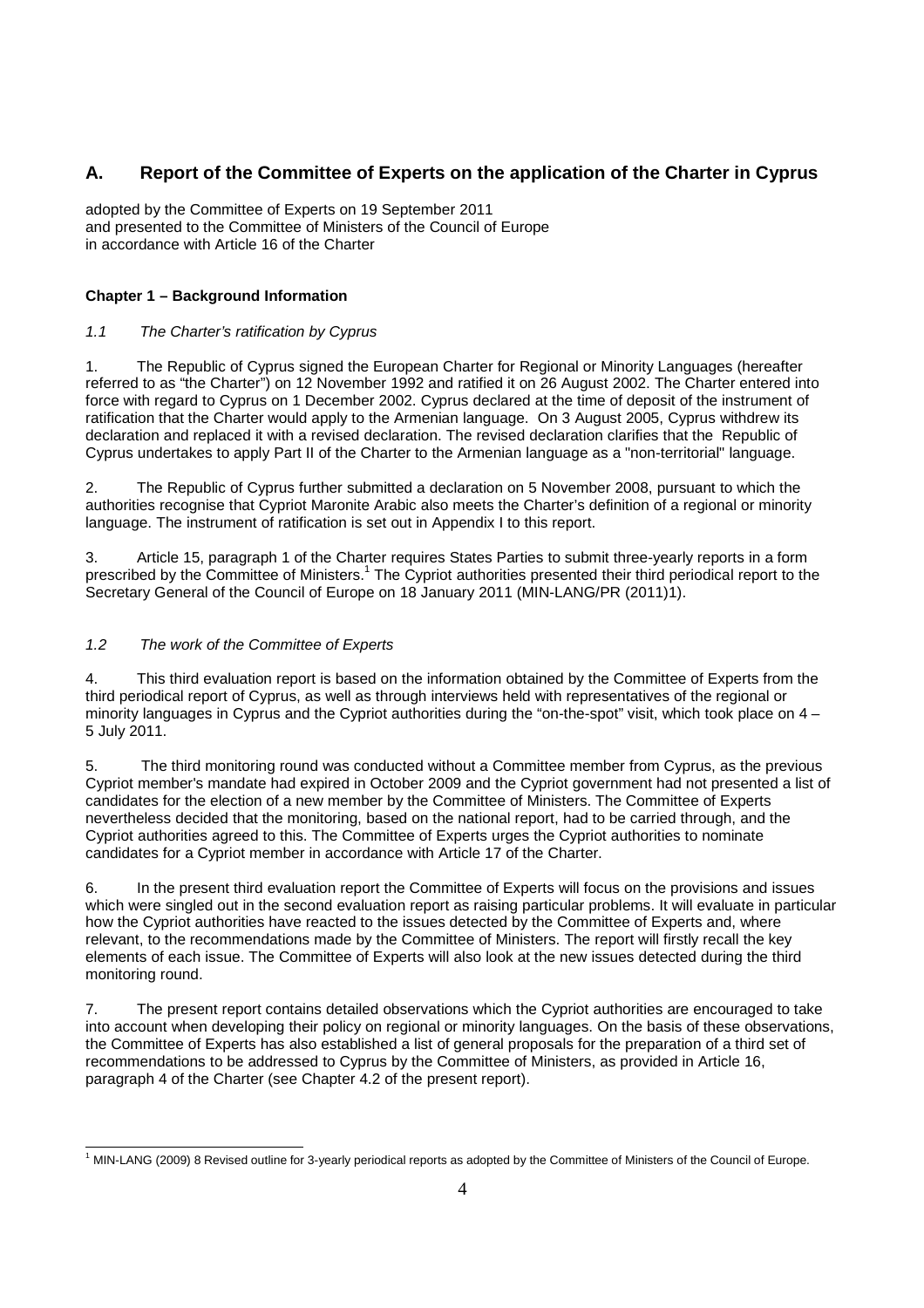## **A. Report of the Committee of Experts on the application of the Charter in Cyprus**

adopted by the Committee of Experts on 19 September 2011 and presented to the Committee of Ministers of the Council of Europe in accordance with Article 16 of the Charter

### **Chapter 1 – Background Information**

### 1.1 The Charter's ratification by Cyprus

1. The Republic of Cyprus signed the European Charter for Regional or Minority Languages (hereafter referred to as "the Charter") on 12 November 1992 and ratified it on 26 August 2002. The Charter entered into force with regard to Cyprus on 1 December 2002. Cyprus declared at the time of deposit of the instrument of ratification that the Charter would apply to the Armenian language. On 3 August 2005, Cyprus withdrew its declaration and replaced it with a revised declaration. The revised declaration clarifies that the Republic of Cyprus undertakes to apply Part II of the Charter to the Armenian language as a "non-territorial" language.

2. The Republic of Cyprus further submitted a declaration on 5 November 2008, pursuant to which the authorities recognise that Cypriot Maronite Arabic also meets the Charter's definition of a regional or minority language. The instrument of ratification is set out in Appendix I to this report.

3. Article 15, paragraph 1 of the Charter requires States Parties to submit three-yearly reports in a form prescribed by the Committee of Ministers.<sup>1</sup> The Cypriot authorities presented their third periodical report to the Secretary General of the Council of Europe on 18 January 2011 (MIN-LANG/PR (2011)1).

### 1.2 The work of the Committee of Experts

4. This third evaluation report is based on the information obtained by the Committee of Experts from the third periodical report of Cyprus, as well as through interviews held with representatives of the regional or minority languages in Cyprus and the Cypriot authorities during the "on-the-spot" visit, which took place on  $4 -$ 5 July 2011.

5. The third monitoring round was conducted without a Committee member from Cyprus, as the previous Cypriot member's mandate had expired in October 2009 and the Cypriot government had not presented a list of candidates for the election of a new member by the Committee of Ministers. The Committee of Experts nevertheless decided that the monitoring, based on the national report, had to be carried through, and the Cypriot authorities agreed to this. The Committee of Experts urges the Cypriot authorities to nominate candidates for a Cypriot member in accordance with Article 17 of the Charter.

6. In the present third evaluation report the Committee of Experts will focus on the provisions and issues which were singled out in the second evaluation report as raising particular problems. It will evaluate in particular how the Cypriot authorities have reacted to the issues detected by the Committee of Experts and, where relevant, to the recommendations made by the Committee of Ministers. The report will firstly recall the key elements of each issue. The Committee of Experts will also look at the new issues detected during the third monitoring round.

7. The present report contains detailed observations which the Cypriot authorities are encouraged to take into account when developing their policy on regional or minority languages. On the basis of these observations, the Committee of Experts has also established a list of general proposals for the preparation of a third set of recommendations to be addressed to Cyprus by the Committee of Ministers, as provided in Article 16, paragraph 4 of the Charter (see Chapter 4.2 of the present report).

<sup>-</sup><sup>1</sup> MIN-LANG (2009) 8 Revised outline for 3-yearly periodical reports as adopted by the Committee of Ministers of the Council of Europe.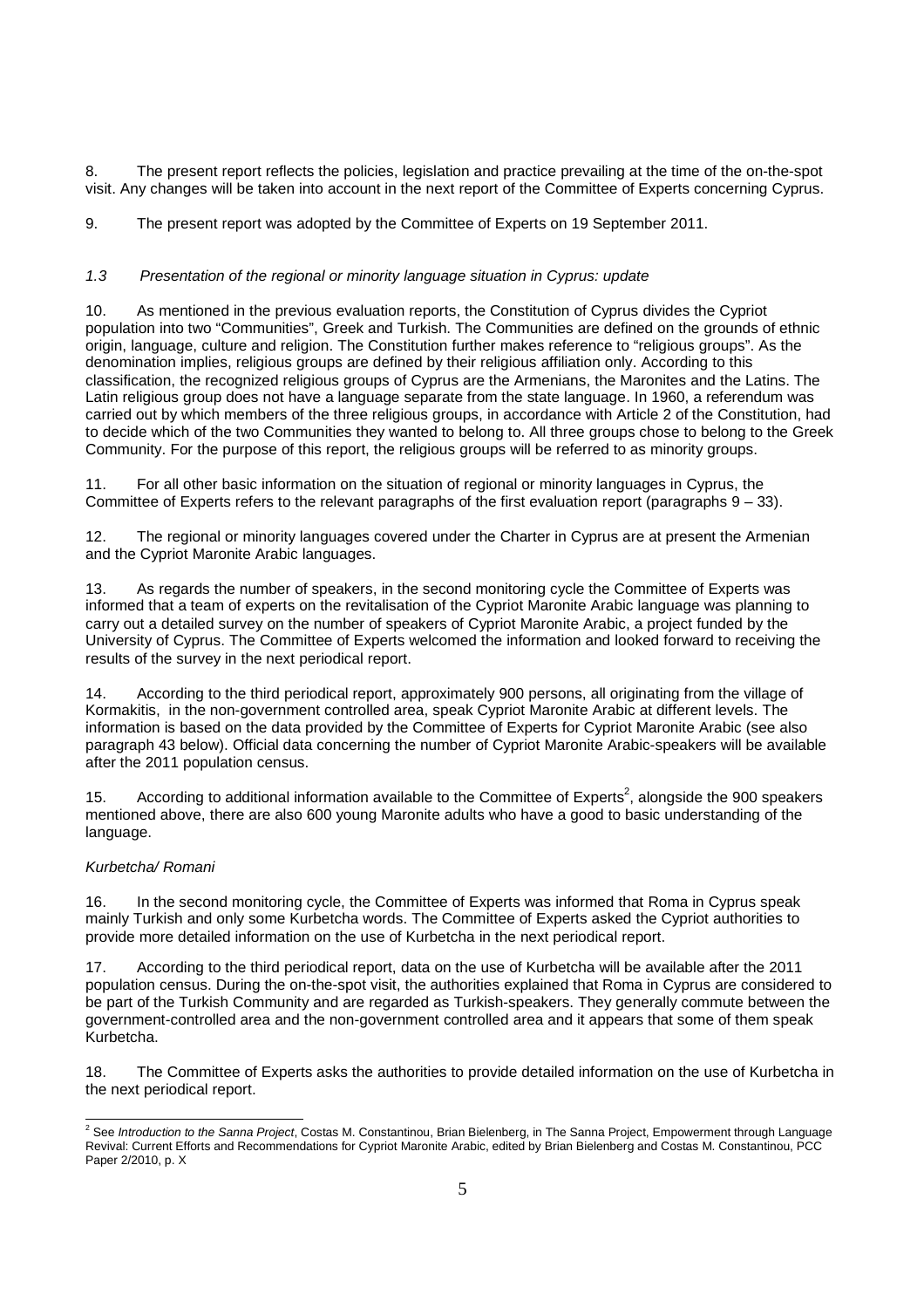8. The present report reflects the policies, legislation and practice prevailing at the time of the on-the-spot visit. Any changes will be taken into account in the next report of the Committee of Experts concerning Cyprus.

9. The present report was adopted by the Committee of Experts on 19 September 2011.

### 1.3 Presentation of the regional or minority language situation in Cyprus: update

10. As mentioned in the previous evaluation reports, the Constitution of Cyprus divides the Cypriot population into two "Communities", Greek and Turkish. The Communities are defined on the grounds of ethnic origin, language, culture and religion. The Constitution further makes reference to "religious groups". As the denomination implies, religious groups are defined by their religious affiliation only. According to this classification, the recognized religious groups of Cyprus are the Armenians, the Maronites and the Latins. The Latin religious group does not have a language separate from the state language. In 1960, a referendum was carried out by which members of the three religious groups, in accordance with Article 2 of the Constitution, had to decide which of the two Communities they wanted to belong to. All three groups chose to belong to the Greek Community. For the purpose of this report, the religious groups will be referred to as minority groups.

11. For all other basic information on the situation of regional or minority languages in Cyprus, the Committee of Experts refers to the relevant paragraphs of the first evaluation report (paragraphs  $9 - 33$ ).

12. The regional or minority languages covered under the Charter in Cyprus are at present the Armenian and the Cypriot Maronite Arabic languages.

13. As regards the number of speakers, in the second monitoring cycle the Committee of Experts was informed that a team of experts on the revitalisation of the Cypriot Maronite Arabic language was planning to carry out a detailed survey on the number of speakers of Cypriot Maronite Arabic, a project funded by the University of Cyprus. The Committee of Experts welcomed the information and looked forward to receiving the results of the survey in the next periodical report.

14. According to the third periodical report, approximately 900 persons, all originating from the village of Kormakitis, in the non-government controlled area, speak Cypriot Maronite Arabic at different levels. The information is based on the data provided by the Committee of Experts for Cypriot Maronite Arabic (see also paragraph 43 below). Official data concerning the number of Cypriot Maronite Arabic-speakers will be available after the 2011 population census.

15. According to additional information available to the Committee of Experts<sup>2</sup>, alongside the 900 speakers mentioned above, there are also 600 young Maronite adults who have a good to basic understanding of the language.

### Kurbetcha/ Romani

16. In the second monitoring cycle, the Committee of Experts was informed that Roma in Cyprus speak mainly Turkish and only some Kurbetcha words. The Committee of Experts asked the Cypriot authorities to provide more detailed information on the use of Kurbetcha in the next periodical report.

17. According to the third periodical report, data on the use of Kurbetcha will be available after the 2011 population census. During the on-the-spot visit, the authorities explained that Roma in Cyprus are considered to be part of the Turkish Community and are regarded as Turkish-speakers. They generally commute between the government-controlled area and the non-government controlled area and it appears that some of them speak Kurbetcha.

18. The Committee of Experts asks the authorities to provide detailed information on the use of Kurbetcha in the next periodical report.

 2 See Introduction to the Sanna Project, Costas M. Constantinou, Brian Bielenberg, in The Sanna Project, Empowerment through Language Revival: Current Efforts and Recommendations for Cypriot Maronite Arabic, edited by Brian Bielenberg and Costas M. Constantinou, PCC Paper 2/2010, p. X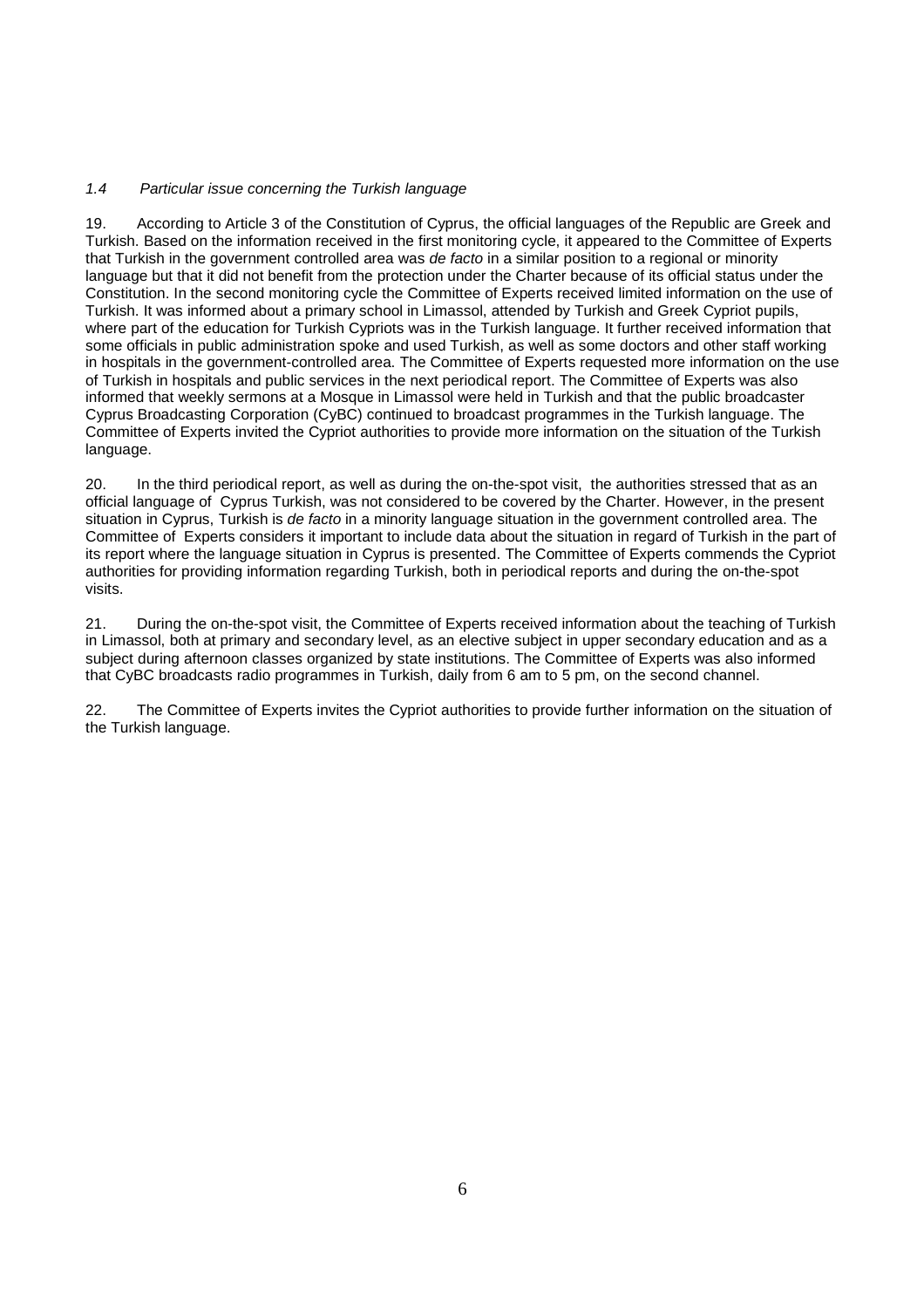### 1.4 Particular issue concerning the Turkish language

19. According to Article 3 of the Constitution of Cyprus, the official languages of the Republic are Greek and Turkish. Based on the information received in the first monitoring cycle, it appeared to the Committee of Experts that Turkish in the government controlled area was *de facto* in a similar position to a regional or minority language but that it did not benefit from the protection under the Charter because of its official status under the Constitution. In the second monitoring cycle the Committee of Experts received limited information on the use of Turkish. It was informed about a primary school in Limassol, attended by Turkish and Greek Cypriot pupils, where part of the education for Turkish Cypriots was in the Turkish language. It further received information that some officials in public administration spoke and used Turkish, as well as some doctors and other staff working in hospitals in the government-controlled area. The Committee of Experts requested more information on the use of Turkish in hospitals and public services in the next periodical report. The Committee of Experts was also informed that weekly sermons at a Mosque in Limassol were held in Turkish and that the public broadcaster Cyprus Broadcasting Corporation (CyBC) continued to broadcast programmes in the Turkish language. The Committee of Experts invited the Cypriot authorities to provide more information on the situation of the Turkish language.

20. In the third periodical report, as well as during the on-the-spot visit, the authorities stressed that as an official language of Cyprus Turkish, was not considered to be covered by the Charter. However, in the present situation in Cyprus, Turkish is de facto in a minority language situation in the government controlled area. The Committee of Experts considers it important to include data about the situation in regard of Turkish in the part of its report where the language situation in Cyprus is presented. The Committee of Experts commends the Cypriot authorities for providing information regarding Turkish, both in periodical reports and during the on-the-spot visits.

21. During the on-the-spot visit, the Committee of Experts received information about the teaching of Turkish in Limassol, both at primary and secondary level, as an elective subject in upper secondary education and as a subject during afternoon classes organized by state institutions. The Committee of Experts was also informed that CyBC broadcasts radio programmes in Turkish, daily from 6 am to 5 pm, on the second channel.

22. The Committee of Experts invites the Cypriot authorities to provide further information on the situation of the Turkish language.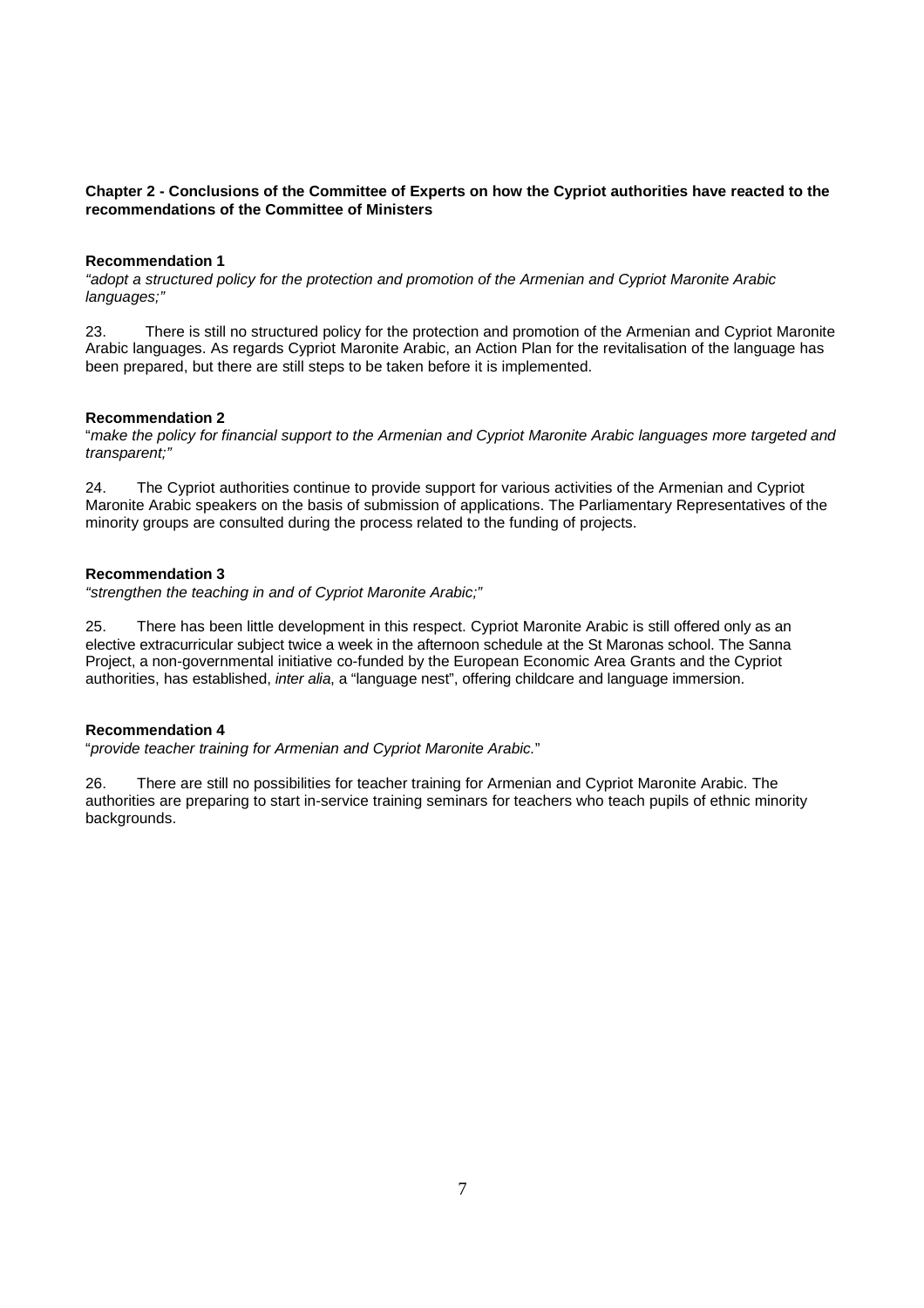### **Chapter 2 - Conclusions of the Committee of Experts on how the Cypriot authorities have reacted to the recommendations of the Committee of Ministers**

### **Recommendation 1**

"adopt a structured policy for the protection and promotion of the Armenian and Cypriot Maronite Arabic languages;"

23. There is still no structured policy for the protection and promotion of the Armenian and Cypriot Maronite Arabic languages. As regards Cypriot Maronite Arabic, an Action Plan for the revitalisation of the language has been prepared, but there are still steps to be taken before it is implemented.

### **Recommendation 2**

"make the policy for financial support to the Armenian and Cypriot Maronite Arabic languages more targeted and transparent;"

24. The Cypriot authorities continue to provide support for various activities of the Armenian and Cypriot Maronite Arabic speakers on the basis of submission of applications. The Parliamentary Representatives of the minority groups are consulted during the process related to the funding of projects.

### **Recommendation 3**

"strengthen the teaching in and of Cypriot Maronite Arabic;"

25. There has been little development in this respect. Cypriot Maronite Arabic is still offered only as an elective extracurricular subject twice a week in the afternoon schedule at the St Maronas school. The Sanna Project, a non-governmental initiative co-funded by the European Economic Area Grants and the Cypriot authorities, has established, inter alia, a "language nest", offering childcare and language immersion.

### **Recommendation 4**

"provide teacher training for Armenian and Cypriot Maronite Arabic."

26. There are still no possibilities for teacher training for Armenian and Cypriot Maronite Arabic. The authorities are preparing to start in-service training seminars for teachers who teach pupils of ethnic minority backgrounds.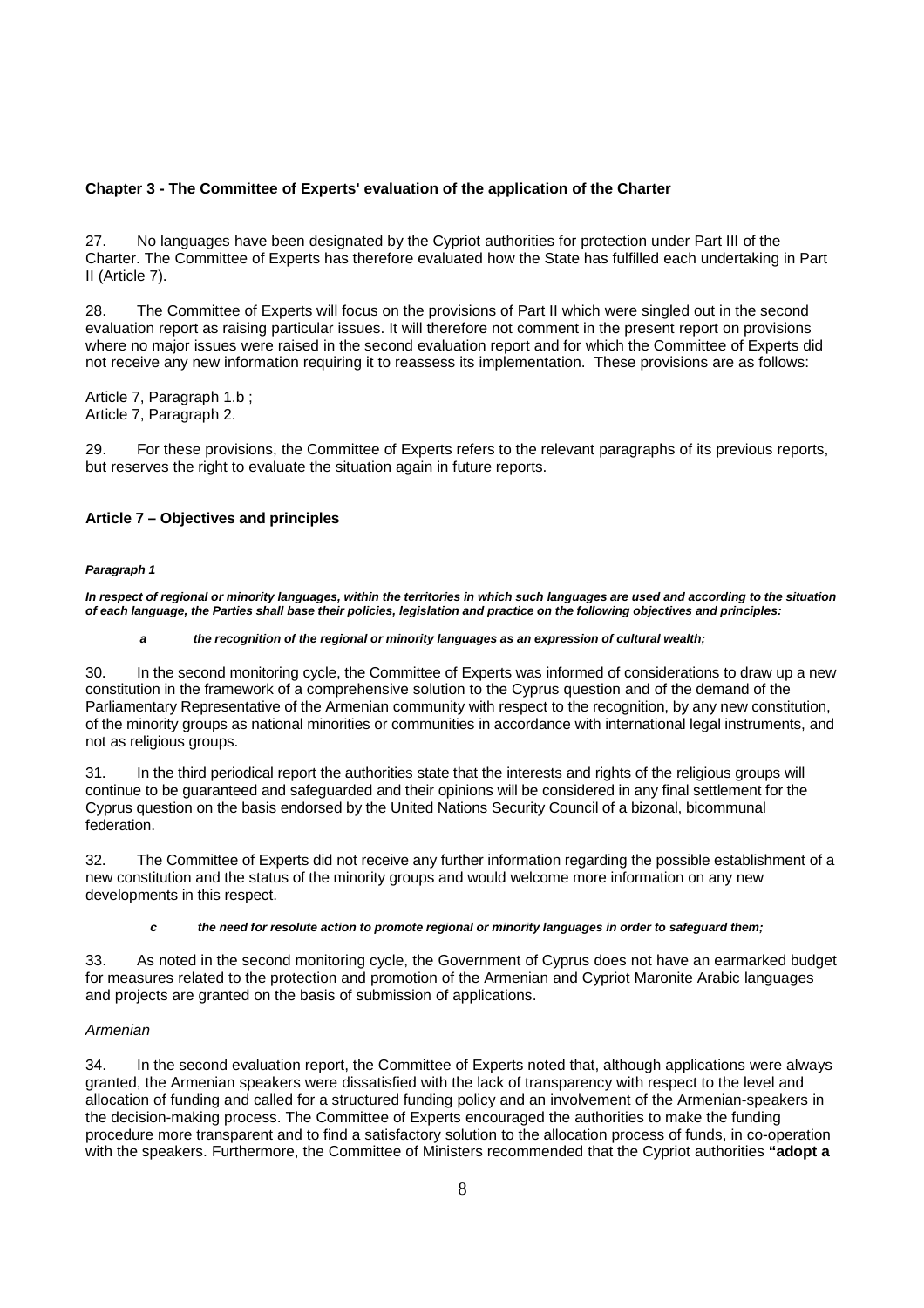### **Chapter 3 - The Committee of Experts' evaluation of the application of the Charter**

27. No languages have been designated by the Cypriot authorities for protection under Part III of the Charter. The Committee of Experts has therefore evaluated how the State has fulfilled each undertaking in Part II (Article 7).

28. The Committee of Experts will focus on the provisions of Part II which were singled out in the second evaluation report as raising particular issues. It will therefore not comment in the present report on provisions where no major issues were raised in the second evaluation report and for which the Committee of Experts did not receive any new information requiring it to reassess its implementation. These provisions are as follows:

Article 7, Paragraph 1.b ; Article 7, Paragraph 2.

29. For these provisions, the Committee of Experts refers to the relevant paragraphs of its previous reports, but reserves the right to evaluate the situation again in future reports.

### **Article 7 – Objectives and principles**

#### **Paragraph 1**

**In respect of regional or minority languages, within the territories in which such languages are used and according to the situation of each language, the Parties shall base their policies, legislation and practice on the following objectives and principles:** 

#### **a the recognition of the regional or minority languages as an expression of cultural wealth;**

30. In the second monitoring cycle, the Committee of Experts was informed of considerations to draw up a new constitution in the framework of a comprehensive solution to the Cyprus question and of the demand of the Parliamentary Representative of the Armenian community with respect to the recognition, by any new constitution, of the minority groups as national minorities or communities in accordance with international legal instruments, and not as religious groups.

31. In the third periodical report the authorities state that the interests and rights of the religious groups will continue to be guaranteed and safeguarded and their opinions will be considered in any final settlement for the Cyprus question on the basis endorsed by the United Nations Security Council of a bizonal, bicommunal federation.

32. The Committee of Experts did not receive any further information regarding the possible establishment of a new constitution and the status of the minority groups and would welcome more information on any new developments in this respect.

#### **c the need for resolute action to promote regional or minority languages in order to safeguard them;**

33. As noted in the second monitoring cycle, the Government of Cyprus does not have an earmarked budget for measures related to the protection and promotion of the Armenian and Cypriot Maronite Arabic languages and projects are granted on the basis of submission of applications.

### Armenian

34. In the second evaluation report, the Committee of Experts noted that, although applications were always granted, the Armenian speakers were dissatisfied with the lack of transparency with respect to the level and allocation of funding and called for a structured funding policy and an involvement of the Armenian-speakers in the decision-making process. The Committee of Experts encouraged the authorities to make the funding procedure more transparent and to find a satisfactory solution to the allocation process of funds, in co-operation with the speakers. Furthermore, the Committee of Ministers recommended that the Cypriot authorities **"adopt a**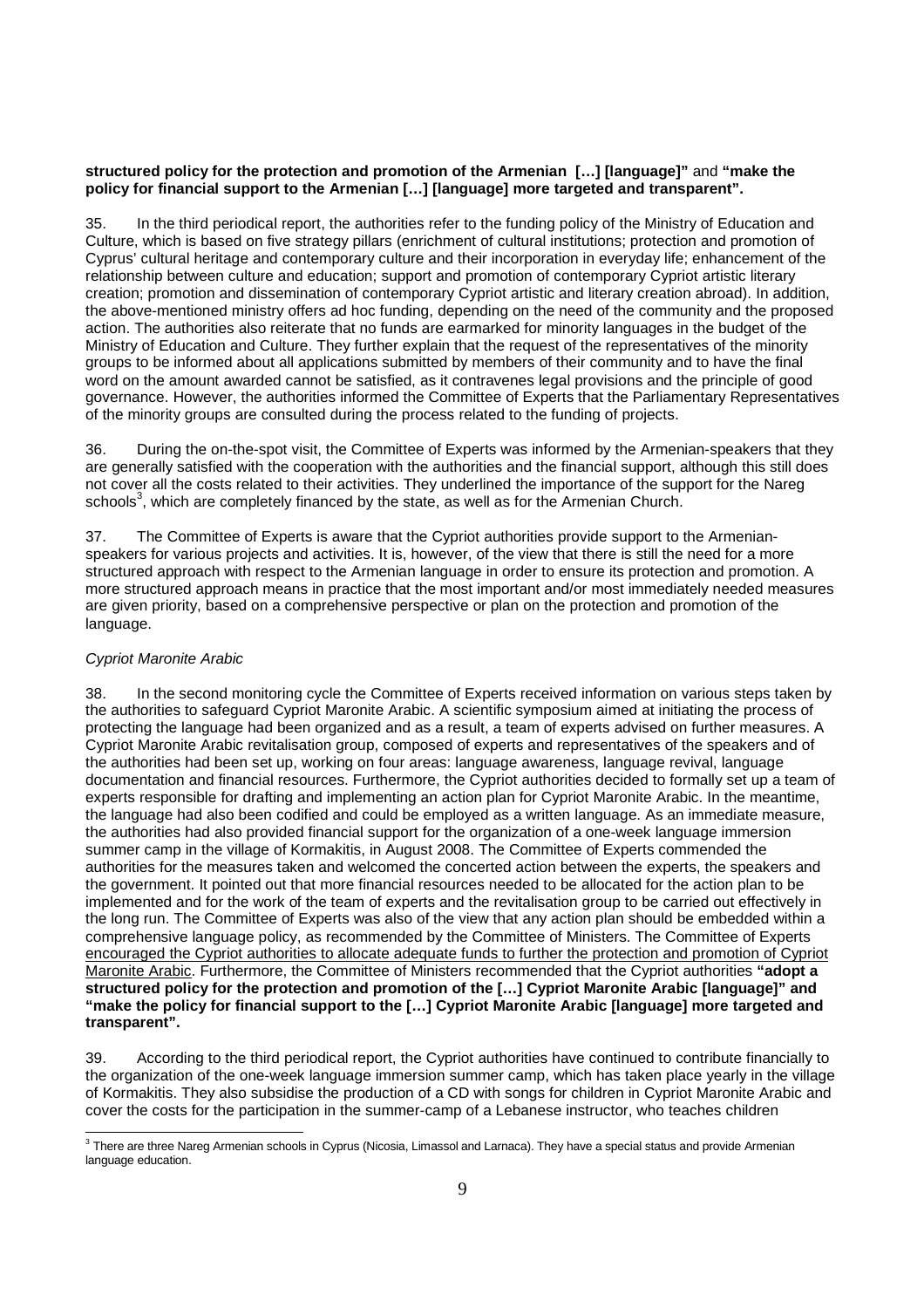### **structured policy for the protection and promotion of the Armenian […] [language]"** and **"make the policy for financial support to the Armenian […] [language] more targeted and transparent".**

35. In the third periodical report, the authorities refer to the funding policy of the Ministry of Education and Culture, which is based on five strategy pillars (enrichment of cultural institutions; protection and promotion of Cyprus' cultural heritage and contemporary culture and their incorporation in everyday life; enhancement of the relationship between culture and education; support and promotion of contemporary Cypriot artistic literary creation; promotion and dissemination of contemporary Cypriot artistic and literary creation abroad). In addition, the above-mentioned ministry offers ad hoc funding, depending on the need of the community and the proposed action. The authorities also reiterate that no funds are earmarked for minority languages in the budget of the Ministry of Education and Culture. They further explain that the request of the representatives of the minority groups to be informed about all applications submitted by members of their community and to have the final word on the amount awarded cannot be satisfied, as it contravenes legal provisions and the principle of good governance. However, the authorities informed the Committee of Experts that the Parliamentary Representatives of the minority groups are consulted during the process related to the funding of projects.

36. During the on-the-spot visit, the Committee of Experts was informed by the Armenian-speakers that they are generally satisfied with the cooperation with the authorities and the financial support, although this still does not cover all the costs related to their activities. They underlined the importance of the support for the Nareg schools<sup>3</sup>, which are completely financed by the state, as well as for the Armenian Church.

37. The Committee of Experts is aware that the Cypriot authorities provide support to the Armenianspeakers for various projects and activities. It is, however, of the view that there is still the need for a more structured approach with respect to the Armenian language in order to ensure its protection and promotion. A more structured approach means in practice that the most important and/or most immediately needed measures are given priority, based on a comprehensive perspective or plan on the protection and promotion of the language.

### Cypriot Maronite Arabic

38. In the second monitoring cycle the Committee of Experts received information on various steps taken by the authorities to safeguard Cypriot Maronite Arabic. A scientific symposium aimed at initiating the process of protecting the language had been organized and as a result, a team of experts advised on further measures. A Cypriot Maronite Arabic revitalisation group, composed of experts and representatives of the speakers and of the authorities had been set up, working on four areas: language awareness, language revival, language documentation and financial resources. Furthermore, the Cypriot authorities decided to formally set up a team of experts responsible for drafting and implementing an action plan for Cypriot Maronite Arabic. In the meantime, the language had also been codified and could be employed as a written language. As an immediate measure, the authorities had also provided financial support for the organization of a one-week language immersion summer camp in the village of Kormakitis, in August 2008. The Committee of Experts commended the authorities for the measures taken and welcomed the concerted action between the experts, the speakers and the government. It pointed out that more financial resources needed to be allocated for the action plan to be implemented and for the work of the team of experts and the revitalisation group to be carried out effectively in the long run. The Committee of Experts was also of the view that any action plan should be embedded within a comprehensive language policy, as recommended by the Committee of Ministers. The Committee of Experts encouraged the Cypriot authorities to allocate adequate funds to further the protection and promotion of Cypriot Maronite Arabic. Furthermore, the Committee of Ministers recommended that the Cypriot authorities **"adopt a structured policy for the protection and promotion of the […] Cypriot Maronite Arabic [language]" and "make the policy for financial support to the […] Cypriot Maronite Arabic [language] more targeted and transparent".** 

39. According to the third periodical report, the Cypriot authorities have continued to contribute financially to the organization of the one-week language immersion summer camp, which has taken place yearly in the village of Kormakitis. They also subsidise the production of a CD with songs for children in Cypriot Maronite Arabic and cover the costs for the participation in the summer-camp of a Lebanese instructor, who teaches children

 3 There are three Nareg Armenian schools in Cyprus (Nicosia, Limassol and Larnaca). They have a special status and provide Armenian language education.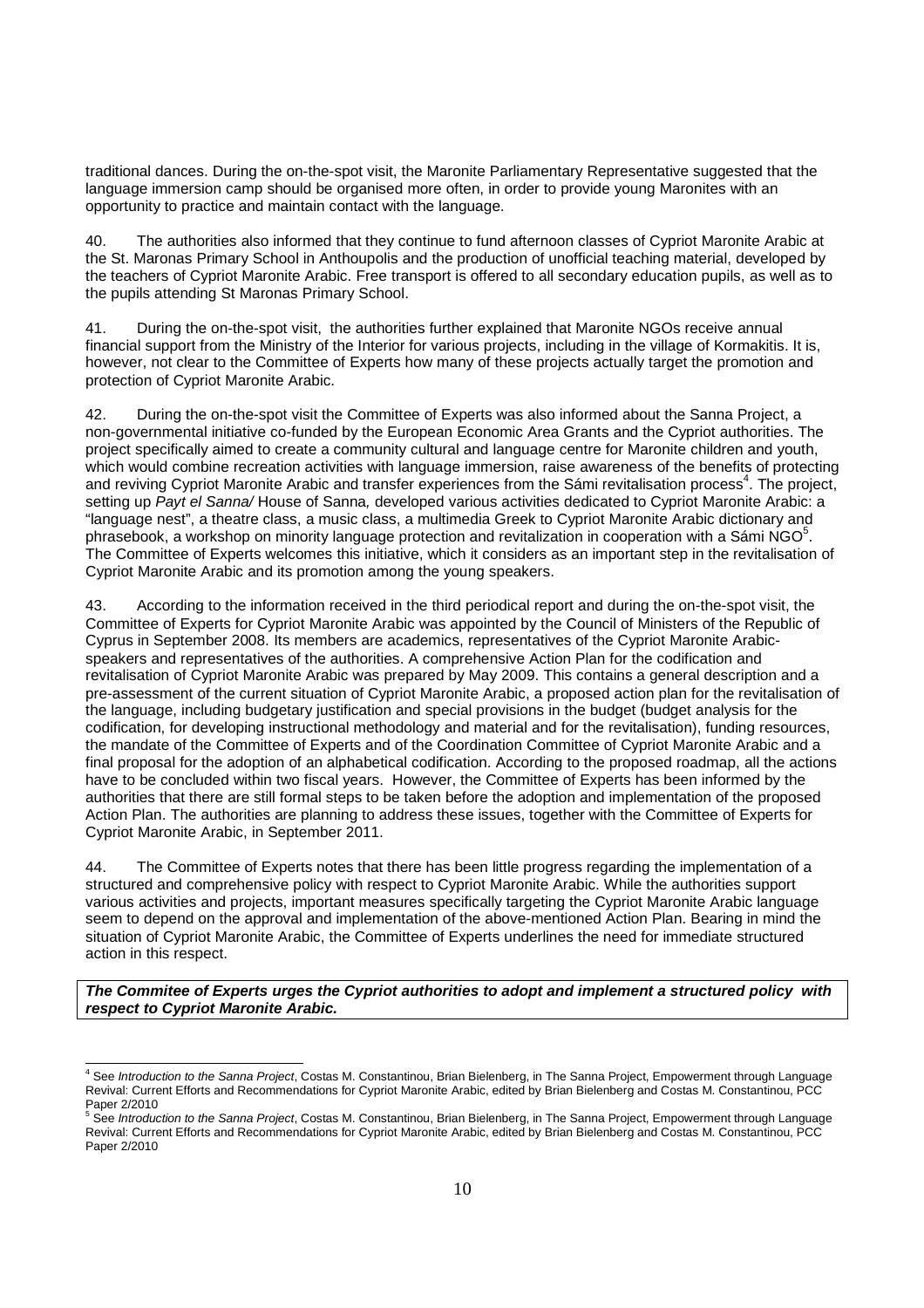traditional dances. During the on-the-spot visit, the Maronite Parliamentary Representative suggested that the language immersion camp should be organised more often, in order to provide young Maronites with an opportunity to practice and maintain contact with the language.

40. The authorities also informed that they continue to fund afternoon classes of Cypriot Maronite Arabic at the St. Maronas Primary School in Anthoupolis and the production of unofficial teaching material, developed by the teachers of Cypriot Maronite Arabic. Free transport is offered to all secondary education pupils, as well as to the pupils attending St Maronas Primary School.

41. During the on-the-spot visit, the authorities further explained that Maronite NGOs receive annual financial support from the Ministry of the Interior for various projects, including in the village of Kormakitis. It is, however, not clear to the Committee of Experts how many of these projects actually target the promotion and protection of Cypriot Maronite Arabic.

42. During the on-the-spot visit the Committee of Experts was also informed about the Sanna Project, a non-governmental initiative co-funded by the European Economic Area Grants and the Cypriot authorities. The project specifically aimed to create a community cultural and language centre for Maronite children and youth, which would combine recreation activities with language immersion, raise awareness of the benefits of protecting and reviving Cypriot Maronite Arabic and transfer experiences from the Sámi revitalisation process<sup>4</sup>. The project, setting up Payt el Sanna/ House of Sanna, developed various activities dedicated to Cypriot Maronite Arabic: a "language nest", a theatre class, a music class, a multimedia Greek to Cypriot Maronite Arabic dictionary and phrasebook, a workshop on minority language protection and revitalization in cooperation with a Sámi NGO<sup>5</sup>. The Committee of Experts welcomes this initiative, which it considers as an important step in the revitalisation of Cypriot Maronite Arabic and its promotion among the young speakers.

43. According to the information received in the third periodical report and during the on-the-spot visit, the Committee of Experts for Cypriot Maronite Arabic was appointed by the Council of Ministers of the Republic of Cyprus in September 2008. Its members are academics, representatives of the Cypriot Maronite Arabicspeakers and representatives of the authorities. A comprehensive Action Plan for the codification and revitalisation of Cypriot Maronite Arabic was prepared by May 2009. This contains a general description and a pre-assessment of the current situation of Cypriot Maronite Arabic, a proposed action plan for the revitalisation of the language, including budgetary justification and special provisions in the budget (budget analysis for the codification, for developing instructional methodology and material and for the revitalisation), funding resources, the mandate of the Committee of Experts and of the Coordination Committee of Cypriot Maronite Arabic and a final proposal for the adoption of an alphabetical codification. According to the proposed roadmap, all the actions have to be concluded within two fiscal years. However, the Committee of Experts has been informed by the authorities that there are still formal steps to be taken before the adoption and implementation of the proposed Action Plan. The authorities are planning to address these issues, together with the Committee of Experts for Cypriot Maronite Arabic, in September 2011.

44. The Committee of Experts notes that there has been little progress regarding the implementation of a structured and comprehensive policy with respect to Cypriot Maronite Arabic. While the authorities support various activities and projects, important measures specifically targeting the Cypriot Maronite Arabic language seem to depend on the approval and implementation of the above-mentioned Action Plan. Bearing in mind the situation of Cypriot Maronite Arabic, the Committee of Experts underlines the need for immediate structured action in this respect.

**The Commitee of Experts urges the Cypriot authorities to adopt and implement a structured policy with respect to Cypriot Maronite Arabic.** 

 4 See Introduction to the Sanna Project, Costas M. Constantinou, Brian Bielenberg, in The Sanna Project, Empowerment through Language Revival: Current Efforts and Recommendations for Cypriot Maronite Arabic, edited by Brian Bielenberg and Costas M. Constantinou, PCC Paper 2/2010

<sup>&</sup>lt;sup>5</sup> See Introduction to the Sanna Project, Costas M. Constantinou, Brian Bielenberg, in The Sanna Project, Empowerment through Language Revival: Current Efforts and Recommendations for Cypriot Maronite Arabic, edited by Brian Bielenberg and Costas M. Constantinou, PCC Paper 2/2010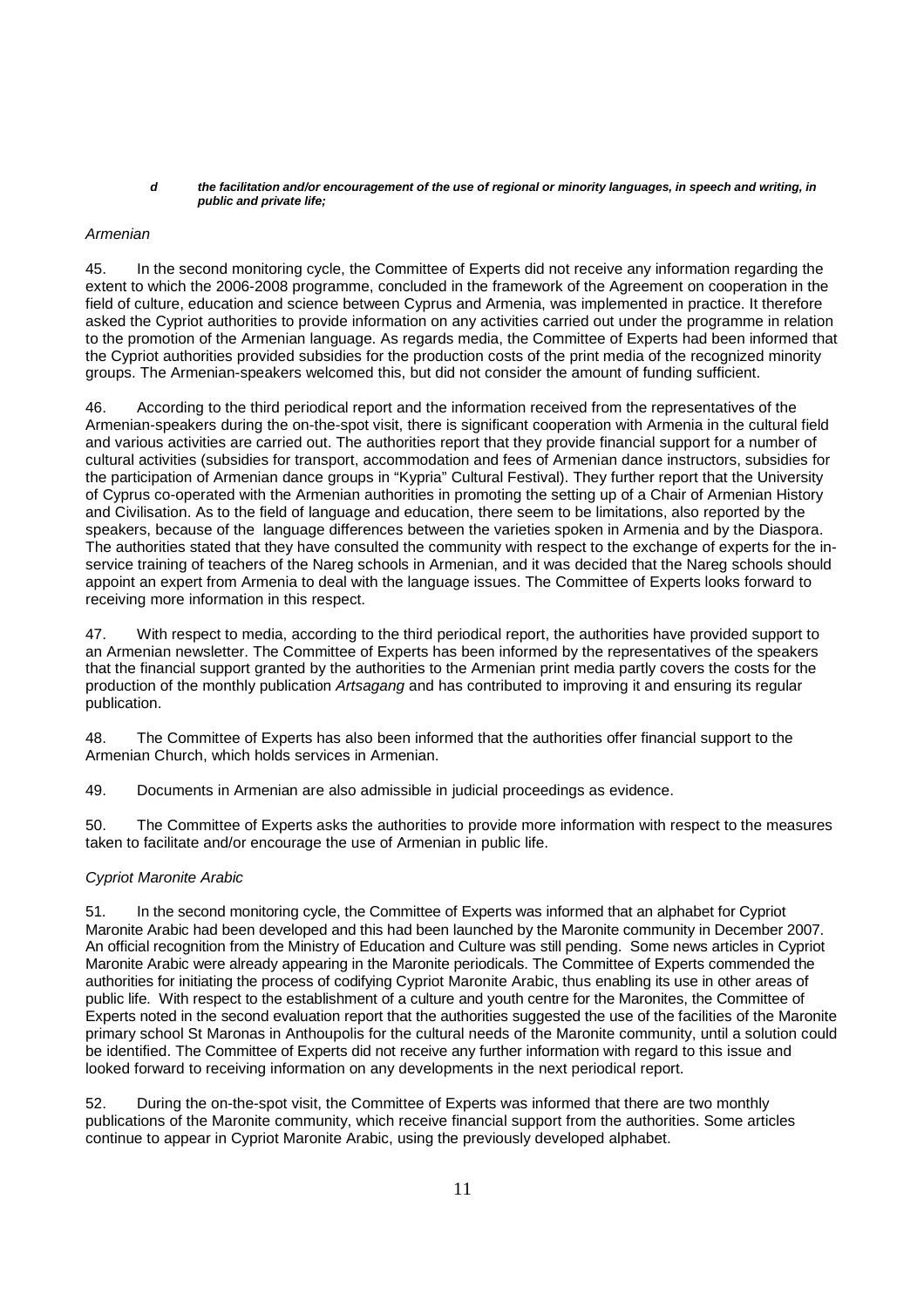#### **d the facilitation and/or encouragement of the use of regional or minority languages, in speech and writing, in public and private life;**

### Armenian

45. In the second monitoring cycle, the Committee of Experts did not receive any information regarding the extent to which the 2006-2008 programme, concluded in the framework of the Agreement on cooperation in the field of culture, education and science between Cyprus and Armenia, was implemented in practice. It therefore asked the Cypriot authorities to provide information on any activities carried out under the programme in relation to the promotion of the Armenian language. As regards media, the Committee of Experts had been informed that the Cypriot authorities provided subsidies for the production costs of the print media of the recognized minority groups. The Armenian-speakers welcomed this, but did not consider the amount of funding sufficient.

46. According to the third periodical report and the information received from the representatives of the Armenian-speakers during the on-the-spot visit, there is significant cooperation with Armenia in the cultural field and various activities are carried out. The authorities report that they provide financial support for a number of cultural activities (subsidies for transport, accommodation and fees of Armenian dance instructors, subsidies for the participation of Armenian dance groups in "Kypria" Cultural Festival). They further report that the University of Cyprus co-operated with the Armenian authorities in promoting the setting up of a Chair of Armenian History and Civilisation. As to the field of language and education, there seem to be limitations, also reported by the speakers, because of the language differences between the varieties spoken in Armenia and by the Diaspora. The authorities stated that they have consulted the community with respect to the exchange of experts for the inservice training of teachers of the Nareg schools in Armenian, and it was decided that the Nareg schools should appoint an expert from Armenia to deal with the language issues. The Committee of Experts looks forward to receiving more information in this respect.

47. With respect to media, according to the third periodical report, the authorities have provided support to an Armenian newsletter. The Committee of Experts has been informed by the representatives of the speakers that the financial support granted by the authorities to the Armenian print media partly covers the costs for the production of the monthly publication Artsagang and has contributed to improving it and ensuring its regular publication.

48. The Committee of Experts has also been informed that the authorities offer financial support to the Armenian Church, which holds services in Armenian.

49. Documents in Armenian are also admissible in judicial proceedings as evidence.

50. The Committee of Experts asks the authorities to provide more information with respect to the measures taken to facilitate and/or encourage the use of Armenian in public life.

### Cypriot Maronite Arabic

51. In the second monitoring cycle, the Committee of Experts was informed that an alphabet for Cypriot Maronite Arabic had been developed and this had been launched by the Maronite community in December 2007. An official recognition from the Ministry of Education and Culture was still pending. Some news articles in Cypriot Maronite Arabic were already appearing in the Maronite periodicals. The Committee of Experts commended the authorities for initiating the process of codifying Cypriot Maronite Arabic, thus enabling its use in other areas of public life. With respect to the establishment of a culture and youth centre for the Maronites, the Committee of Experts noted in the second evaluation report that the authorities suggested the use of the facilities of the Maronite primary school St Maronas in Anthoupolis for the cultural needs of the Maronite community, until a solution could be identified. The Committee of Experts did not receive any further information with regard to this issue and looked forward to receiving information on any developments in the next periodical report.

52. During the on-the-spot visit, the Committee of Experts was informed that there are two monthly publications of the Maronite community, which receive financial support from the authorities. Some articles continue to appear in Cypriot Maronite Arabic, using the previously developed alphabet.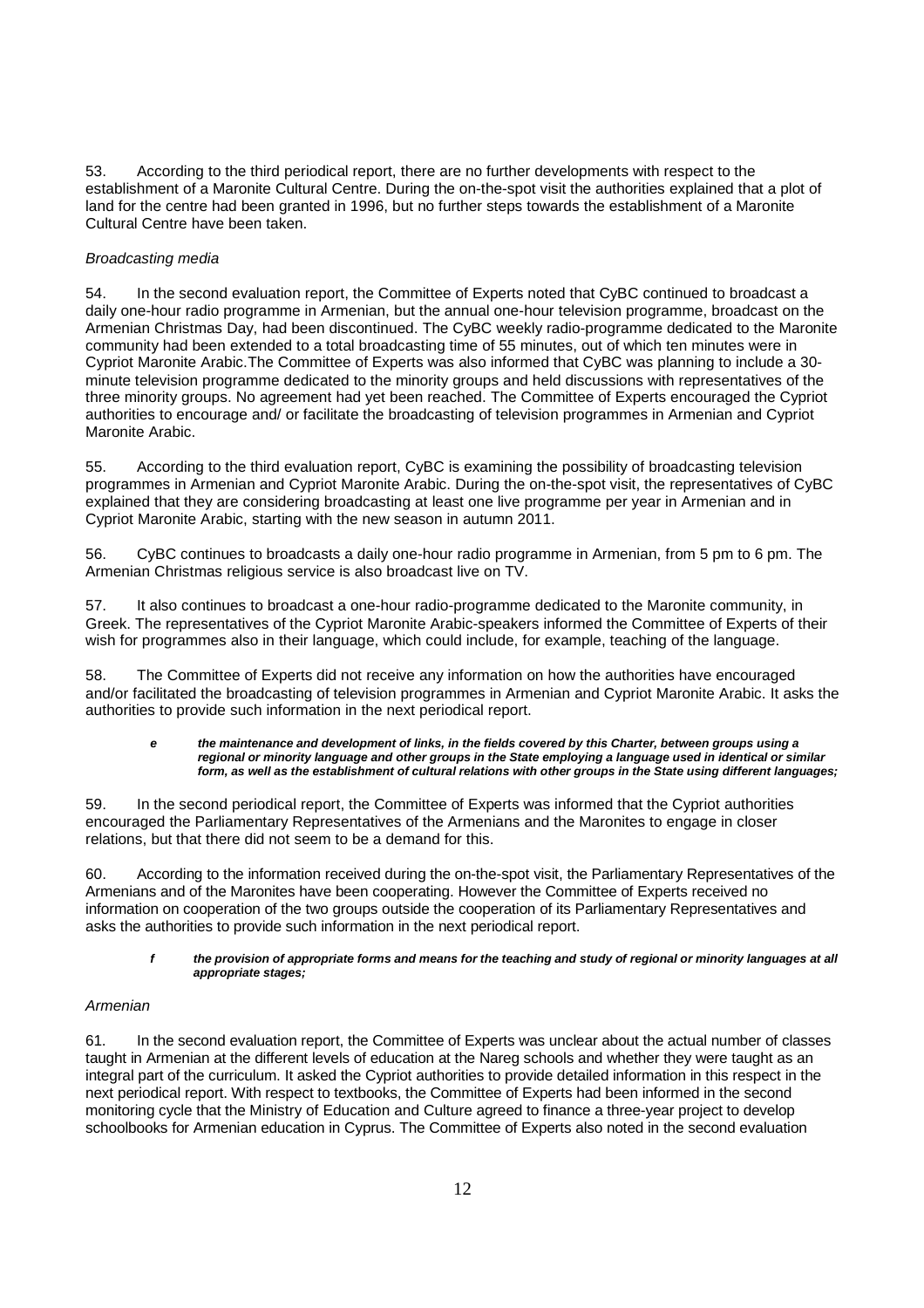53. According to the third periodical report, there are no further developments with respect to the establishment of a Maronite Cultural Centre. During the on-the-spot visit the authorities explained that a plot of land for the centre had been granted in 1996, but no further steps towards the establishment of a Maronite Cultural Centre have been taken.

### Broadcasting media

54. In the second evaluation report, the Committee of Experts noted that CyBC continued to broadcast a daily one-hour radio programme in Armenian, but the annual one-hour television programme, broadcast on the Armenian Christmas Day, had been discontinued. The CyBC weekly radio-programme dedicated to the Maronite community had been extended to a total broadcasting time of 55 minutes, out of which ten minutes were in Cypriot Maronite Arabic.The Committee of Experts was also informed that CyBC was planning to include a 30 minute television programme dedicated to the minority groups and held discussions with representatives of the three minority groups. No agreement had yet been reached. The Committee of Experts encouraged the Cypriot authorities to encourage and/ or facilitate the broadcasting of television programmes in Armenian and Cypriot Maronite Arabic.

55. According to the third evaluation report, CyBC is examining the possibility of broadcasting television programmes in Armenian and Cypriot Maronite Arabic. During the on-the-spot visit, the representatives of CyBC explained that they are considering broadcasting at least one live programme per year in Armenian and in Cypriot Maronite Arabic, starting with the new season in autumn 2011.

56. CyBC continues to broadcasts a daily one-hour radio programme in Armenian, from 5 pm to 6 pm. The Armenian Christmas religious service is also broadcast live on TV.

57. It also continues to broadcast a one-hour radio-programme dedicated to the Maronite community, in Greek. The representatives of the Cypriot Maronite Arabic-speakers informed the Committee of Experts of their wish for programmes also in their language, which could include, for example, teaching of the language.

58. The Committee of Experts did not receive any information on how the authorities have encouraged and/or facilitated the broadcasting of television programmes in Armenian and Cypriot Maronite Arabic. It asks the authorities to provide such information in the next periodical report.

#### **e the maintenance and development of links, in the fields covered by this Charter, between groups using a regional or minority language and other groups in the State employing a language used in identical or similar form, as well as the establishment of cultural relations with other groups in the State using different languages;**

59. In the second periodical report, the Committee of Experts was informed that the Cypriot authorities encouraged the Parliamentary Representatives of the Armenians and the Maronites to engage in closer relations, but that there did not seem to be a demand for this.

60. According to the information received during the on-the-spot visit, the Parliamentary Representatives of the Armenians and of the Maronites have been cooperating. However the Committee of Experts received no information on cooperation of the two groups outside the cooperation of its Parliamentary Representatives and asks the authorities to provide such information in the next periodical report.

#### **f the provision of appropriate forms and means for the teaching and study of regional or minority languages at all appropriate stages;**

### Armenian

61. In the second evaluation report, the Committee of Experts was unclear about the actual number of classes taught in Armenian at the different levels of education at the Nareg schools and whether they were taught as an integral part of the curriculum. It asked the Cypriot authorities to provide detailed information in this respect in the next periodical report. With respect to textbooks, the Committee of Experts had been informed in the second monitoring cycle that the Ministry of Education and Culture agreed to finance a three-year project to develop schoolbooks for Armenian education in Cyprus. The Committee of Experts also noted in the second evaluation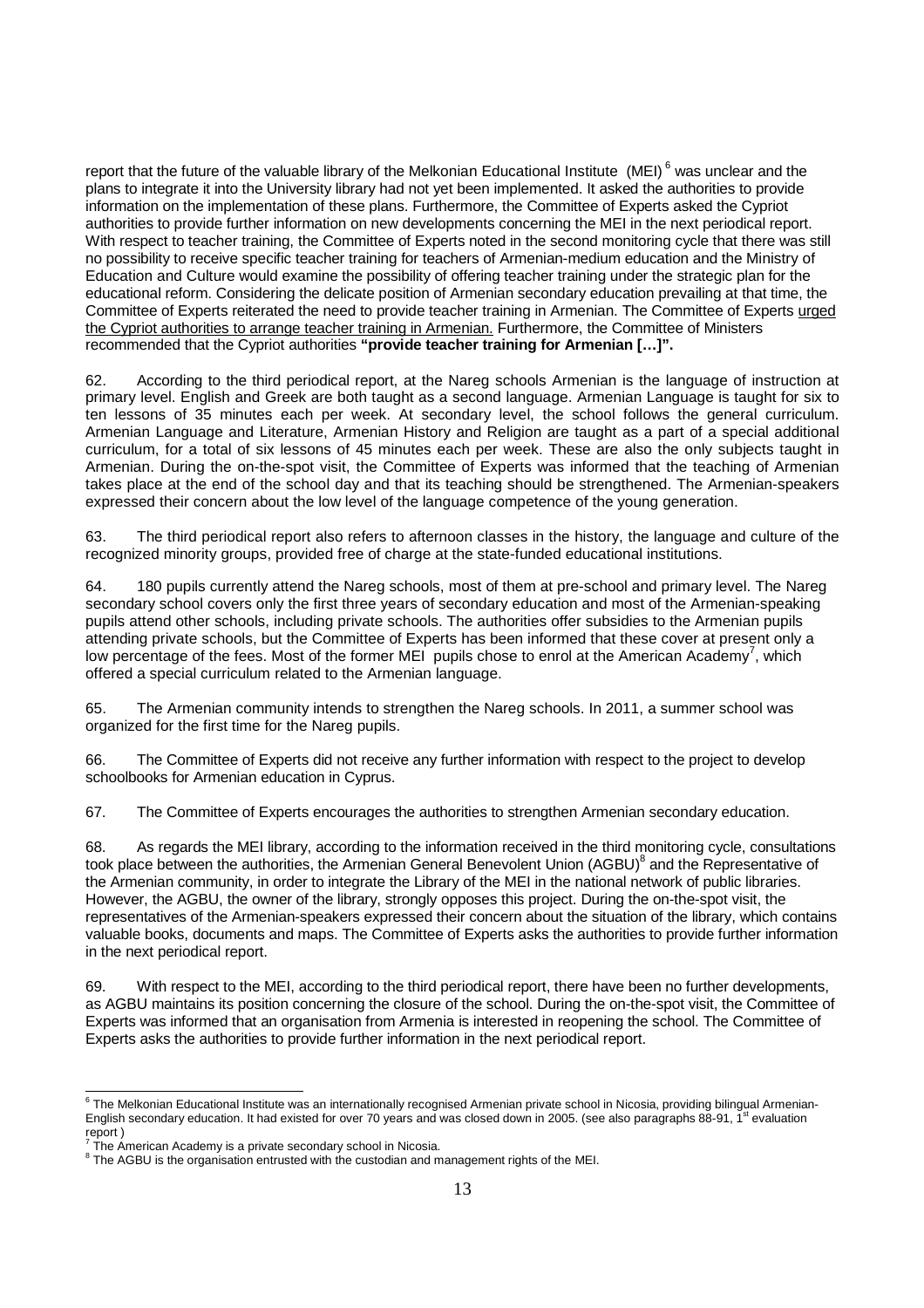report that the future of the valuable library of the Melkonian Educational Institute (MEI)<sup>6</sup> was unclear and the plans to integrate it into the University library had not yet been implemented. It asked the authorities to provide information on the implementation of these plans. Furthermore, the Committee of Experts asked the Cypriot authorities to provide further information on new developments concerning the MEI in the next periodical report. With respect to teacher training, the Committee of Experts noted in the second monitoring cycle that there was still no possibility to receive specific teacher training for teachers of Armenian-medium education and the Ministry of Education and Culture would examine the possibility of offering teacher training under the strategic plan for the educational reform. Considering the delicate position of Armenian secondary education prevailing at that time, the Committee of Experts reiterated the need to provide teacher training in Armenian. The Committee of Experts urged the Cypriot authorities to arrange teacher training in Armenian. Furthermore, the Committee of Ministers recommended that the Cypriot authorities **"provide teacher training for Armenian […]".** 

62. According to the third periodical report, at the Nareg schools Armenian is the language of instruction at primary level. English and Greek are both taught as a second language. Armenian Language is taught for six to ten lessons of 35 minutes each per week. At secondary level, the school follows the general curriculum. Armenian Language and Literature, Armenian History and Religion are taught as a part of a special additional curriculum, for a total of six lessons of 45 minutes each per week. These are also the only subjects taught in Armenian. During the on-the-spot visit, the Committee of Experts was informed that the teaching of Armenian takes place at the end of the school day and that its teaching should be strengthened. The Armenian-speakers expressed their concern about the low level of the language competence of the young generation.

63. The third periodical report also refers to afternoon classes in the history, the language and culture of the recognized minority groups, provided free of charge at the state-funded educational institutions.

64. 180 pupils currently attend the Nareg schools, most of them at pre-school and primary level. The Nareg secondary school covers only the first three years of secondary education and most of the Armenian-speaking pupils attend other schools, including private schools. The authorities offer subsidies to the Armenian pupils attending private schools, but the Committee of Experts has been informed that these cover at present only a low percentage of the fees. Most of the former MEI pupils chose to enrol at the American Academy<sup>7</sup>, which offered a special curriculum related to the Armenian language.

65. The Armenian community intends to strengthen the Nareg schools. In 2011, a summer school was organized for the first time for the Nareg pupils.

66. The Committee of Experts did not receive any further information with respect to the project to develop schoolbooks for Armenian education in Cyprus.

67. The Committee of Experts encourages the authorities to strengthen Armenian secondary education.

68. As regards the MEI library, according to the information received in the third monitoring cycle, consultations took place between the authorities, the Armenian General Benevolent Union (AGBU)<sup>8</sup> and the Representative of the Armenian community, in order to integrate the Library of the MEI in the national network of public libraries. However, the AGBU, the owner of the library, strongly opposes this project. During the on-the-spot visit, the representatives of the Armenian-speakers expressed their concern about the situation of the library, which contains valuable books, documents and maps. The Committee of Experts asks the authorities to provide further information in the next periodical report.

69. With respect to the MEI, according to the third periodical report, there have been no further developments, as AGBU maintains its position concerning the closure of the school. During the on-the-spot visit, the Committee of Experts was informed that an organisation from Armenia is interested in reopening the school. The Committee of Experts asks the authorities to provide further information in the next periodical report.

 6 The Melkonian Educational Institute was an internationally recognised Armenian private school in Nicosia, providing bilingual Armenian-English secondary education. It had existed for over 70 years and was closed down in 2005. (see also paragraphs 88-91, 1<sup>st</sup> evaluation report )<br><sup>7</sup> The American Academy is a private secondary school in Nicosia.

 $8$  The AGBU is the organisation entrusted with the custodian and management rights of the MEI.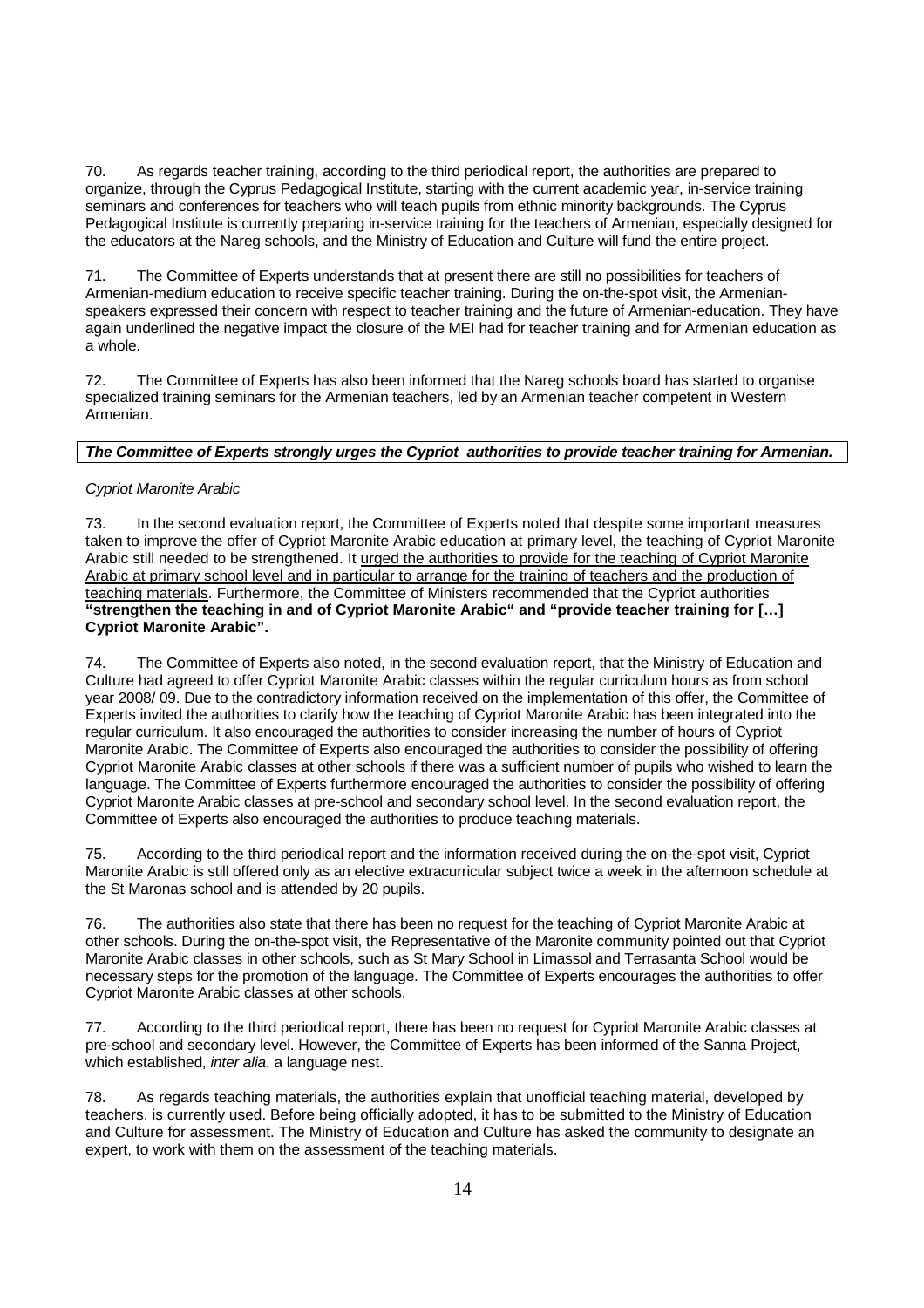70. As regards teacher training, according to the third periodical report, the authorities are prepared to organize, through the Cyprus Pedagogical Institute, starting with the current academic year, in-service training seminars and conferences for teachers who will teach pupils from ethnic minority backgrounds. The Cyprus Pedagogical Institute is currently preparing in-service training for the teachers of Armenian, especially designed for the educators at the Nareg schools, and the Ministry of Education and Culture will fund the entire project.

71. The Committee of Experts understands that at present there are still no possibilities for teachers of Armenian-medium education to receive specific teacher training. During the on-the-spot visit, the Armenianspeakers expressed their concern with respect to teacher training and the future of Armenian-education. They have again underlined the negative impact the closure of the MEI had for teacher training and for Armenian education as a whole.

72. The Committee of Experts has also been informed that the Nareg schools board has started to organise specialized training seminars for the Armenian teachers, led by an Armenian teacher competent in Western Armenian.

### **The Committee of Experts strongly urges the Cypriot authorities to provide teacher training for Armenian.**

### Cypriot Maronite Arabic

73. In the second evaluation report, the Committee of Experts noted that despite some important measures taken to improve the offer of Cypriot Maronite Arabic education at primary level, the teaching of Cypriot Maronite Arabic still needed to be strengthened. It urged the authorities to provide for the teaching of Cypriot Maronite Arabic at primary school level and in particular to arrange for the training of teachers and the production of teaching materials. Furthermore, the Committee of Ministers recommended that the Cypriot authorities **"strengthen the teaching in and of Cypriot Maronite Arabic" and "provide teacher training for […] Cypriot Maronite Arabic".** 

74. The Committee of Experts also noted, in the second evaluation report, that the Ministry of Education and Culture had agreed to offer Cypriot Maronite Arabic classes within the regular curriculum hours as from school year 2008/ 09. Due to the contradictory information received on the implementation of this offer, the Committee of Experts invited the authorities to clarify how the teaching of Cypriot Maronite Arabic has been integrated into the regular curriculum. It also encouraged the authorities to consider increasing the number of hours of Cypriot Maronite Arabic. The Committee of Experts also encouraged the authorities to consider the possibility of offering Cypriot Maronite Arabic classes at other schools if there was a sufficient number of pupils who wished to learn the language. The Committee of Experts furthermore encouraged the authorities to consider the possibility of offering Cypriot Maronite Arabic classes at pre-school and secondary school level. In the second evaluation report, the Committee of Experts also encouraged the authorities to produce teaching materials.

75. According to the third periodical report and the information received during the on-the-spot visit, Cypriot Maronite Arabic is still offered only as an elective extracurricular subject twice a week in the afternoon schedule at the St Maronas school and is attended by 20 pupils.

76. The authorities also state that there has been no request for the teaching of Cypriot Maronite Arabic at other schools. During the on-the-spot visit, the Representative of the Maronite community pointed out that Cypriot Maronite Arabic classes in other schools, such as St Mary School in Limassol and Terrasanta School would be necessary steps for the promotion of the language. The Committee of Experts encourages the authorities to offer Cypriot Maronite Arabic classes at other schools.

77. According to the third periodical report, there has been no request for Cypriot Maronite Arabic classes at pre-school and secondary level. However, the Committee of Experts has been informed of the Sanna Project, which established, *inter alia*, a language nest.

78. As regards teaching materials, the authorities explain that unofficial teaching material, developed by teachers, is currently used. Before being officially adopted, it has to be submitted to the Ministry of Education and Culture for assessment. The Ministry of Education and Culture has asked the community to designate an expert, to work with them on the assessment of the teaching materials.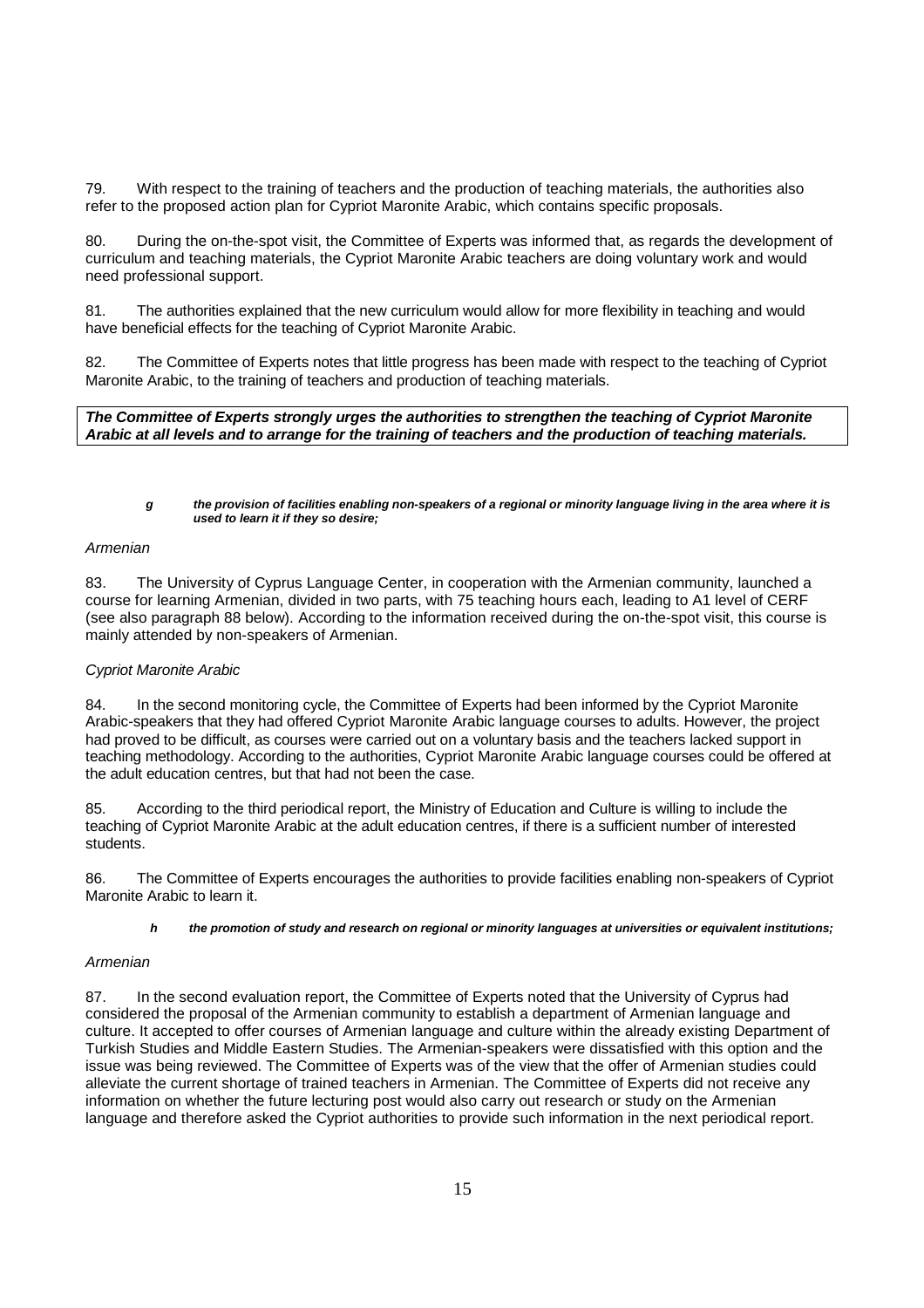79. With respect to the training of teachers and the production of teaching materials, the authorities also refer to the proposed action plan for Cypriot Maronite Arabic, which contains specific proposals.

80. During the on-the-spot visit, the Committee of Experts was informed that, as regards the development of curriculum and teaching materials, the Cypriot Maronite Arabic teachers are doing voluntary work and would need professional support.

81. The authorities explained that the new curriculum would allow for more flexibility in teaching and would have beneficial effects for the teaching of Cypriot Maronite Arabic.

82. The Committee of Experts notes that little progress has been made with respect to the teaching of Cypriot Maronite Arabic, to the training of teachers and production of teaching materials.

**The Committee of Experts strongly urges the authorities to strengthen the teaching of Cypriot Maronite Arabic at all levels and to arrange for the training of teachers and the production of teaching materials.** 

**g the provision of facilities enabling non-speakers of a regional or minority language living in the area where it is used to learn it if they so desire;** 

### Armenian

83. The University of Cyprus Language Center, in cooperation with the Armenian community, launched a course for learning Armenian, divided in two parts, with 75 teaching hours each, leading to A1 level of CERF (see also paragraph 88 below). According to the information received during the on-the-spot visit, this course is mainly attended by non-speakers of Armenian.

### Cypriot Maronite Arabic

84. In the second monitoring cycle, the Committee of Experts had been informed by the Cypriot Maronite Arabic-speakers that they had offered Cypriot Maronite Arabic language courses to adults. However, the project had proved to be difficult, as courses were carried out on a voluntary basis and the teachers lacked support in teaching methodology. According to the authorities, Cypriot Maronite Arabic language courses could be offered at the adult education centres, but that had not been the case.

85. According to the third periodical report, the Ministry of Education and Culture is willing to include the teaching of Cypriot Maronite Arabic at the adult education centres, if there is a sufficient number of interested students.

86. The Committee of Experts encourages the authorities to provide facilities enabling non-speakers of Cypriot Maronite Arabic to learn it.

#### **h the promotion of study and research on regional or minority languages at universities or equivalent institutions;**

#### Armenian

87. In the second evaluation report, the Committee of Experts noted that the University of Cyprus had considered the proposal of the Armenian community to establish a department of Armenian language and culture. It accepted to offer courses of Armenian language and culture within the already existing Department of Turkish Studies and Middle Eastern Studies. The Armenian-speakers were dissatisfied with this option and the issue was being reviewed. The Committee of Experts was of the view that the offer of Armenian studies could alleviate the current shortage of trained teachers in Armenian. The Committee of Experts did not receive any information on whether the future lecturing post would also carry out research or study on the Armenian language and therefore asked the Cypriot authorities to provide such information in the next periodical report.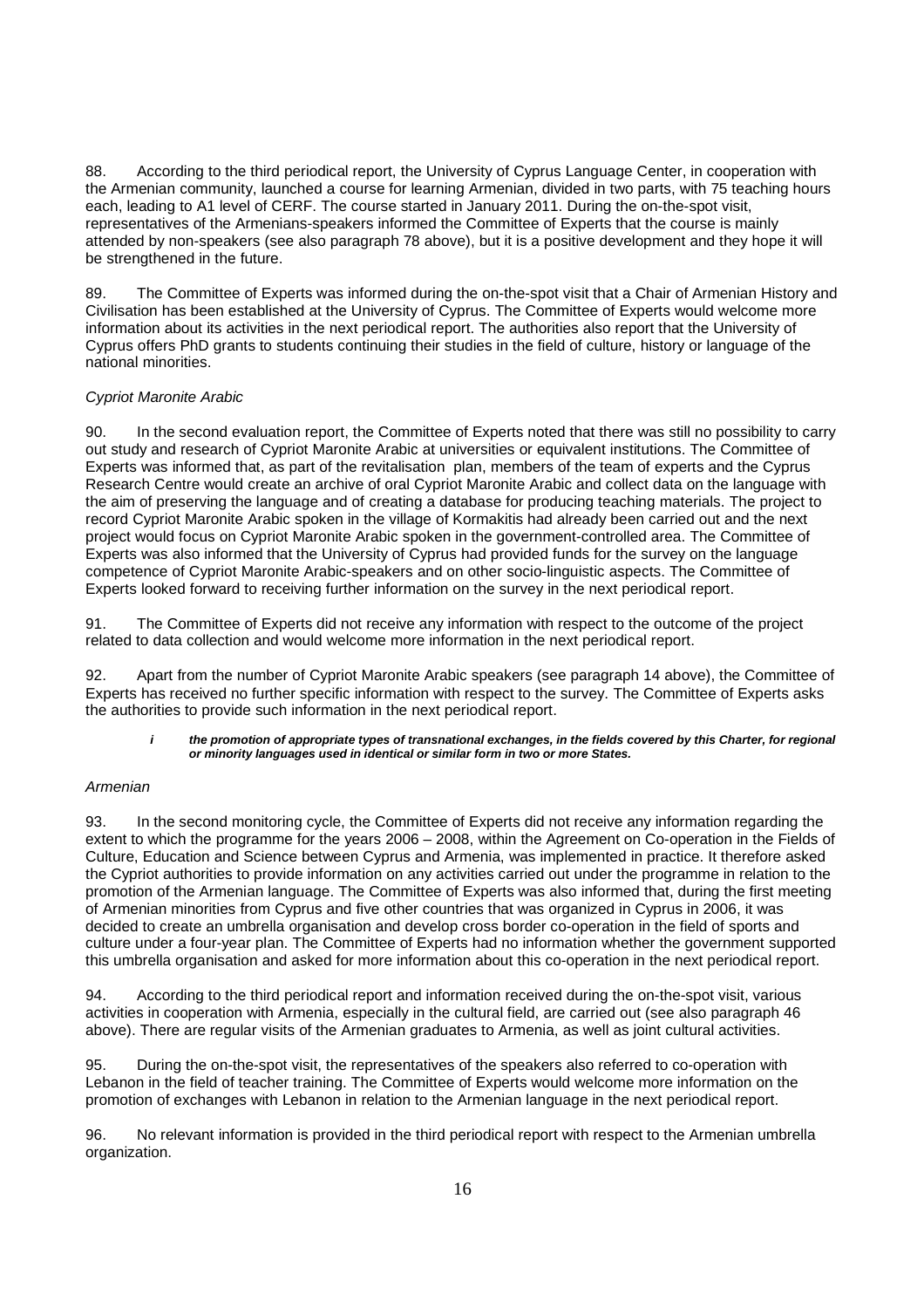88. According to the third periodical report, the University of Cyprus Language Center, in cooperation with the Armenian community, launched a course for learning Armenian, divided in two parts, with 75 teaching hours each, leading to A1 level of CERF. The course started in January 2011. During the on-the-spot visit, representatives of the Armenians-speakers informed the Committee of Experts that the course is mainly attended by non-speakers (see also paragraph 78 above), but it is a positive development and they hope it will be strengthened in the future.

89. The Committee of Experts was informed during the on-the-spot visit that a Chair of Armenian History and Civilisation has been established at the University of Cyprus. The Committee of Experts would welcome more information about its activities in the next periodical report. The authorities also report that the University of Cyprus offers PhD grants to students continuing their studies in the field of culture, history or language of the national minorities.

### Cypriot Maronite Arabic

90. In the second evaluation report, the Committee of Experts noted that there was still no possibility to carry out study and research of Cypriot Maronite Arabic at universities or equivalent institutions. The Committee of Experts was informed that, as part of the revitalisation plan, members of the team of experts and the Cyprus Research Centre would create an archive of oral Cypriot Maronite Arabic and collect data on the language with the aim of preserving the language and of creating a database for producing teaching materials. The project to record Cypriot Maronite Arabic spoken in the village of Kormakitis had already been carried out and the next project would focus on Cypriot Maronite Arabic spoken in the government-controlled area. The Committee of Experts was also informed that the University of Cyprus had provided funds for the survey on the language competence of Cypriot Maronite Arabic-speakers and on other socio-linguistic aspects. The Committee of Experts looked forward to receiving further information on the survey in the next periodical report.

91. The Committee of Experts did not receive any information with respect to the outcome of the project related to data collection and would welcome more information in the next periodical report.

92. Apart from the number of Cypriot Maronite Arabic speakers (see paragraph 14 above), the Committee of Experts has received no further specific information with respect to the survey. The Committee of Experts asks the authorities to provide such information in the next periodical report.

#### **i the promotion of appropriate types of transnational exchanges, in the fields covered by this Charter, for regional or minority languages used in identical or similar form in two or more States.**

### Armenian

93. In the second monitoring cycle, the Committee of Experts did not receive any information regarding the extent to which the programme for the years 2006 – 2008, within the Agreement on Co-operation in the Fields of Culture, Education and Science between Cyprus and Armenia, was implemented in practice. It therefore asked the Cypriot authorities to provide information on any activities carried out under the programme in relation to the promotion of the Armenian language. The Committee of Experts was also informed that, during the first meeting of Armenian minorities from Cyprus and five other countries that was organized in Cyprus in 2006, it was decided to create an umbrella organisation and develop cross border co-operation in the field of sports and culture under a four-year plan. The Committee of Experts had no information whether the government supported this umbrella organisation and asked for more information about this co-operation in the next periodical report.

94. According to the third periodical report and information received during the on-the-spot visit, various activities in cooperation with Armenia, especially in the cultural field, are carried out (see also paragraph 46 above). There are regular visits of the Armenian graduates to Armenia, as well as joint cultural activities.

95. During the on-the-spot visit, the representatives of the speakers also referred to co-operation with Lebanon in the field of teacher training. The Committee of Experts would welcome more information on the promotion of exchanges with Lebanon in relation to the Armenian language in the next periodical report.

96. No relevant information is provided in the third periodical report with respect to the Armenian umbrella organization.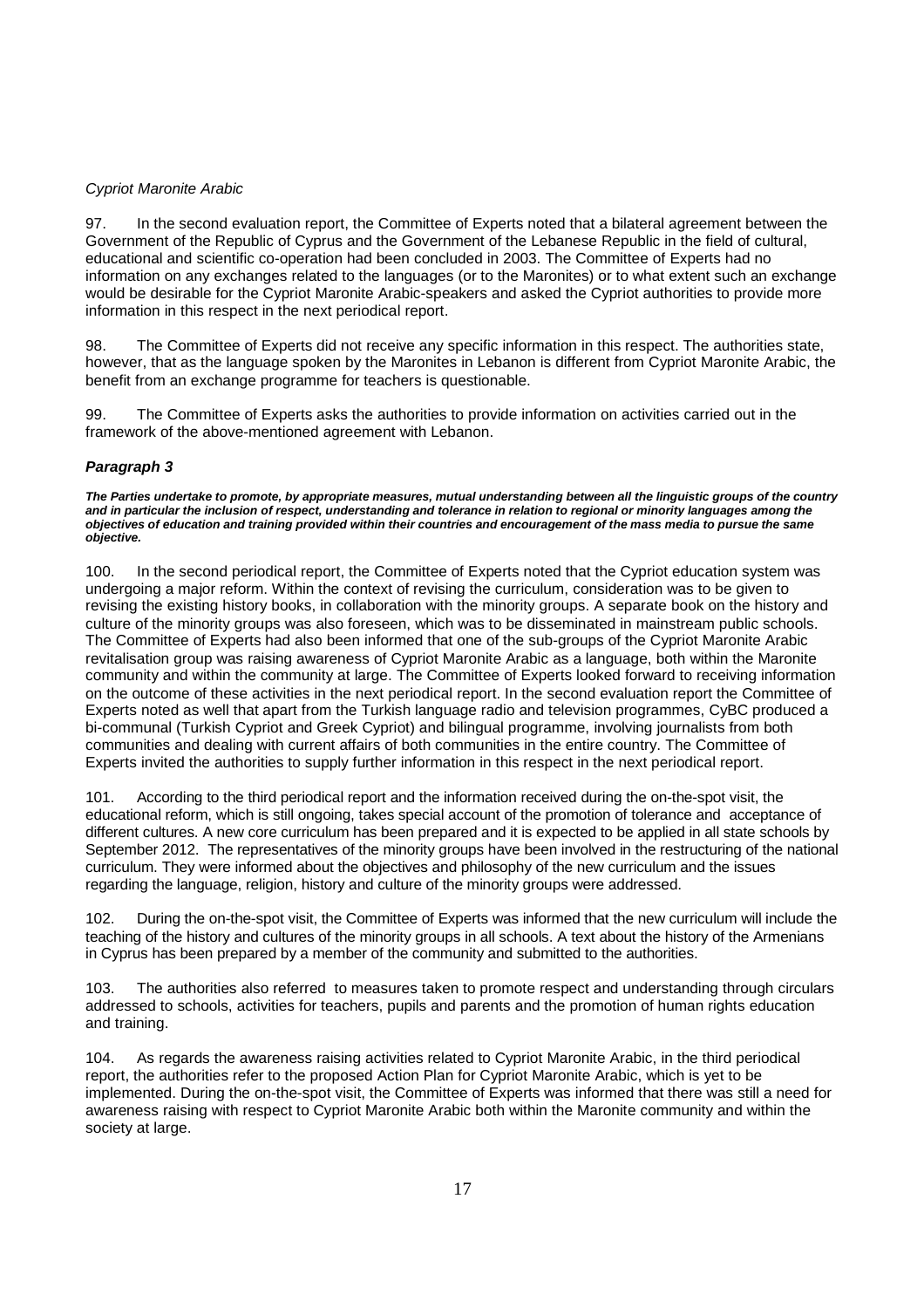### Cypriot Maronite Arabic

97. In the second evaluation report, the Committee of Experts noted that a bilateral agreement between the Government of the Republic of Cyprus and the Government of the Lebanese Republic in the field of cultural, educational and scientific co-operation had been concluded in 2003. The Committee of Experts had no information on any exchanges related to the languages (or to the Maronites) or to what extent such an exchange would be desirable for the Cypriot Maronite Arabic-speakers and asked the Cypriot authorities to provide more information in this respect in the next periodical report.

98. The Committee of Experts did not receive any specific information in this respect. The authorities state, however, that as the language spoken by the Maronites in Lebanon is different from Cypriot Maronite Arabic, the benefit from an exchange programme for teachers is questionable.

99. The Committee of Experts asks the authorities to provide information on activities carried out in the framework of the above-mentioned agreement with Lebanon.

### **Paragraph 3**

**The Parties undertake to promote, by appropriate measures, mutual understanding between all the linguistic groups of the country and in particular the inclusion of respect, understanding and tolerance in relation to regional or minority languages among the objectives of education and training provided within their countries and encouragement of the mass media to pursue the same objective.** 

100. In the second periodical report, the Committee of Experts noted that the Cypriot education system was undergoing a major reform. Within the context of revising the curriculum, consideration was to be given to revising the existing history books, in collaboration with the minority groups. A separate book on the history and culture of the minority groups was also foreseen, which was to be disseminated in mainstream public schools. The Committee of Experts had also been informed that one of the sub-groups of the Cypriot Maronite Arabic revitalisation group was raising awareness of Cypriot Maronite Arabic as a language, both within the Maronite community and within the community at large. The Committee of Experts looked forward to receiving information on the outcome of these activities in the next periodical report. In the second evaluation report the Committee of Experts noted as well that apart from the Turkish language radio and television programmes, CyBC produced a bi-communal (Turkish Cypriot and Greek Cypriot) and bilingual programme, involving journalists from both communities and dealing with current affairs of both communities in the entire country. The Committee of Experts invited the authorities to supply further information in this respect in the next periodical report.

101. According to the third periodical report and the information received during the on-the-spot visit, the educational reform, which is still ongoing, takes special account of the promotion of tolerance and acceptance of different cultures. A new core curriculum has been prepared and it is expected to be applied in all state schools by September 2012. The representatives of the minority groups have been involved in the restructuring of the national curriculum. They were informed about the objectives and philosophy of the new curriculum and the issues regarding the language, religion, history and culture of the minority groups were addressed.

102. During the on-the-spot visit, the Committee of Experts was informed that the new curriculum will include the teaching of the history and cultures of the minority groups in all schools. A text about the history of the Armenians in Cyprus has been prepared by a member of the community and submitted to the authorities.

103. The authorities also referred to measures taken to promote respect and understanding through circulars addressed to schools, activities for teachers, pupils and parents and the promotion of human rights education and training.

104. As regards the awareness raising activities related to Cypriot Maronite Arabic, in the third periodical report, the authorities refer to the proposed Action Plan for Cypriot Maronite Arabic, which is yet to be implemented. During the on-the-spot visit, the Committee of Experts was informed that there was still a need for awareness raising with respect to Cypriot Maronite Arabic both within the Maronite community and within the society at large.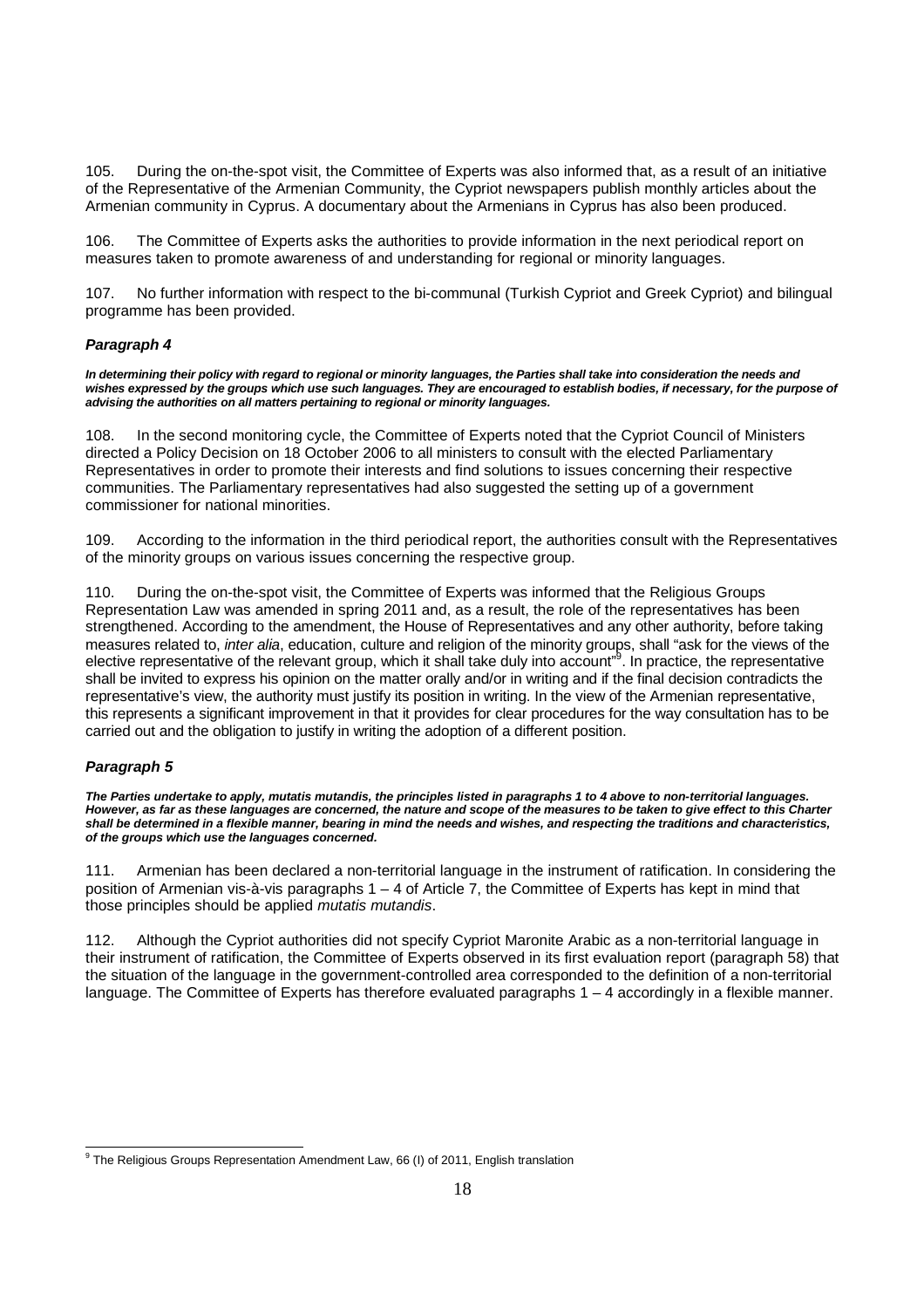105. During the on-the-spot visit, the Committee of Experts was also informed that, as a result of an initiative of the Representative of the Armenian Community, the Cypriot newspapers publish monthly articles about the Armenian community in Cyprus. A documentary about the Armenians in Cyprus has also been produced.

106. The Committee of Experts asks the authorities to provide information in the next periodical report on measures taken to promote awareness of and understanding for regional or minority languages.

107. No further information with respect to the bi-communal (Turkish Cypriot and Greek Cypriot) and bilingual programme has been provided.

### **Paragraph 4**

**In determining their policy with regard to regional or minority languages, the Parties shall take into consideration the needs and wishes expressed by the groups which use such languages. They are encouraged to establish bodies, if necessary, for the purpose of advising the authorities on all matters pertaining to regional or minority languages.** 

108. In the second monitoring cycle, the Committee of Experts noted that the Cypriot Council of Ministers directed a Policy Decision on 18 October 2006 to all ministers to consult with the elected Parliamentary Representatives in order to promote their interests and find solutions to issues concerning their respective communities. The Parliamentary representatives had also suggested the setting up of a government commissioner for national minorities.

109. According to the information in the third periodical report, the authorities consult with the Representatives of the minority groups on various issues concerning the respective group.

110. During the on-the-spot visit, the Committee of Experts was informed that the Religious Groups Representation Law was amended in spring 2011 and, as a result, the role of the representatives has been strengthened. According to the amendment, the House of Representatives and any other authority, before taking measures related to, inter alia, education, culture and religion of the minority groups, shall "ask for the views of the elective representative of the relevant group, which it shall take duly into account"<sup>9</sup>. In practice, the representative shall be invited to express his opinion on the matter orally and/or in writing and if the final decision contradicts the representative's view, the authority must justify its position in writing. In the view of the Armenian representative, this represents a significant improvement in that it provides for clear procedures for the way consultation has to be carried out and the obligation to justify in writing the adoption of a different position.

### **Paragraph 5**

**The Parties undertake to apply, mutatis mutandis, the principles listed in paragraphs 1 to 4 above to non-territorial languages. However, as far as these languages are concerned, the nature and scope of the measures to be taken to give effect to this Charter shall be determined in a flexible manner, bearing in mind the needs and wishes, and respecting the traditions and characteristics, of the groups which use the languages concerned.** 

111. Armenian has been declared a non-territorial language in the instrument of ratification. In considering the position of Armenian vis-à-vis paragraphs 1 – 4 of Article 7, the Committee of Experts has kept in mind that those principles should be applied mutatis mutandis.

112. Although the Cypriot authorities did not specify Cypriot Maronite Arabic as a non-territorial language in their instrument of ratification, the Committee of Experts observed in its first evaluation report (paragraph 58) that the situation of the language in the government-controlled area corresponded to the definition of a non-territorial language. The Committee of Experts has therefore evaluated paragraphs 1 – 4 accordingly in a flexible manner.

<sup>-</sup><sup>9</sup> The Religious Groups Representation Amendment Law, 66 (I) of 2011, English translation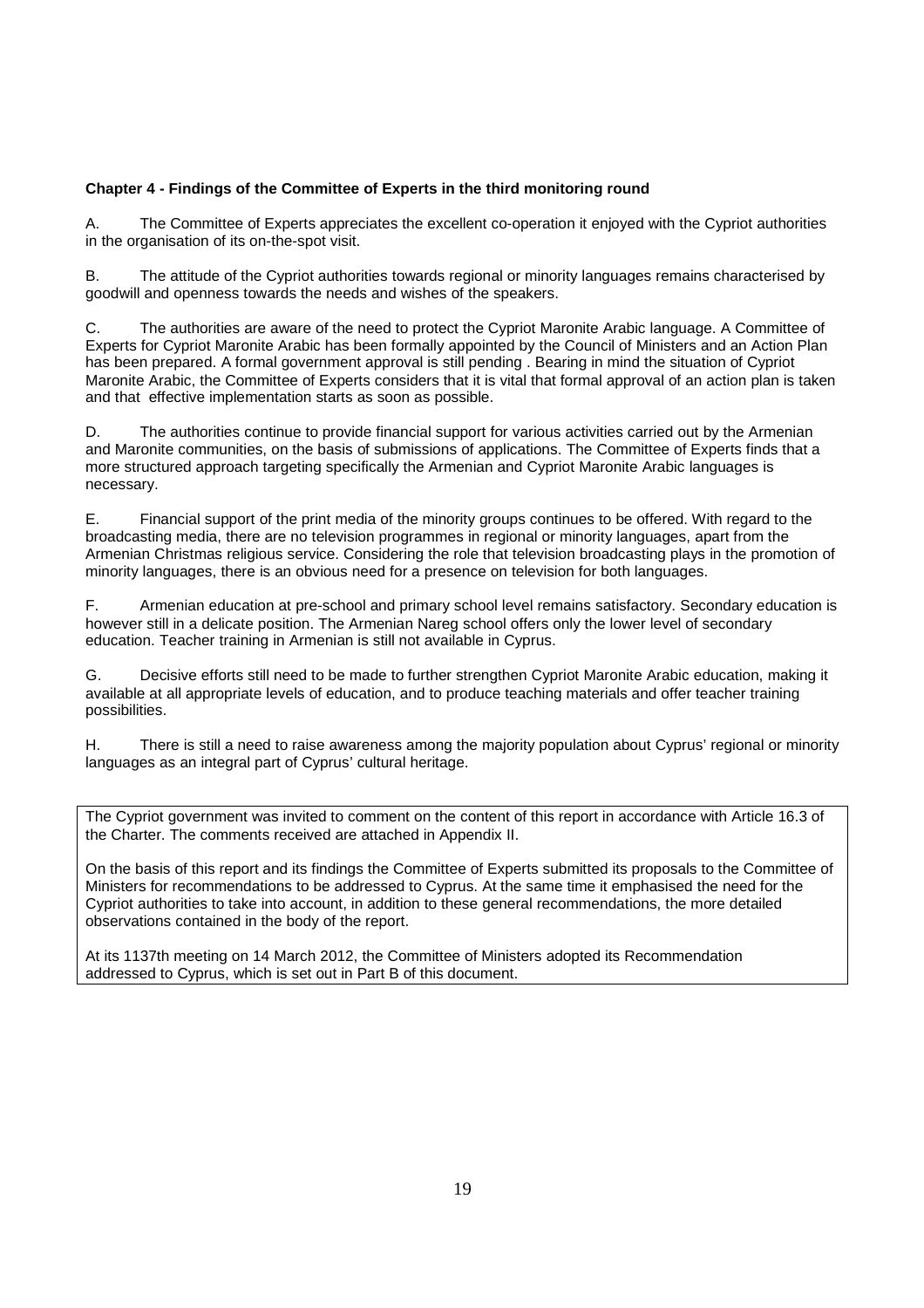### **Chapter 4 - Findings of the Committee of Experts in the third monitoring round**

A. The Committee of Experts appreciates the excellent co-operation it enjoyed with the Cypriot authorities in the organisation of its on-the-spot visit.

B. The attitude of the Cypriot authorities towards regional or minority languages remains characterised by goodwill and openness towards the needs and wishes of the speakers.

C. The authorities are aware of the need to protect the Cypriot Maronite Arabic language. A Committee of Experts for Cypriot Maronite Arabic has been formally appointed by the Council of Ministers and an Action Plan has been prepared. A formal government approval is still pending . Bearing in mind the situation of Cypriot Maronite Arabic, the Committee of Experts considers that it is vital that formal approval of an action plan is taken and that effective implementation starts as soon as possible.

D. The authorities continue to provide financial support for various activities carried out by the Armenian and Maronite communities, on the basis of submissions of applications. The Committee of Experts finds that a more structured approach targeting specifically the Armenian and Cypriot Maronite Arabic languages is necessary.

E. Financial support of the print media of the minority groups continues to be offered. With regard to the broadcasting media, there are no television programmes in regional or minority languages, apart from the Armenian Christmas religious service. Considering the role that television broadcasting plays in the promotion of minority languages, there is an obvious need for a presence on television for both languages.

F. Armenian education at pre-school and primary school level remains satisfactory. Secondary education is however still in a delicate position. The Armenian Nareg school offers only the lower level of secondary education. Teacher training in Armenian is still not available in Cyprus.

G. Decisive efforts still need to be made to further strengthen Cypriot Maronite Arabic education, making it available at all appropriate levels of education, and to produce teaching materials and offer teacher training possibilities.

H. There is still a need to raise awareness among the majority population about Cyprus' regional or minority languages as an integral part of Cyprus' cultural heritage.

The Cypriot government was invited to comment on the content of this report in accordance with Article 16.3 of the Charter. The comments received are attached in Appendix II.

On the basis of this report and its findings the Committee of Experts submitted its proposals to the Committee of Ministers for recommendations to be addressed to Cyprus. At the same time it emphasised the need for the Cypriot authorities to take into account, in addition to these general recommendations, the more detailed observations contained in the body of the report.

At its 1137th meeting on 14 March 2012, the Committee of Ministers adopted its Recommendation addressed to Cyprus, which is set out in Part B of this document.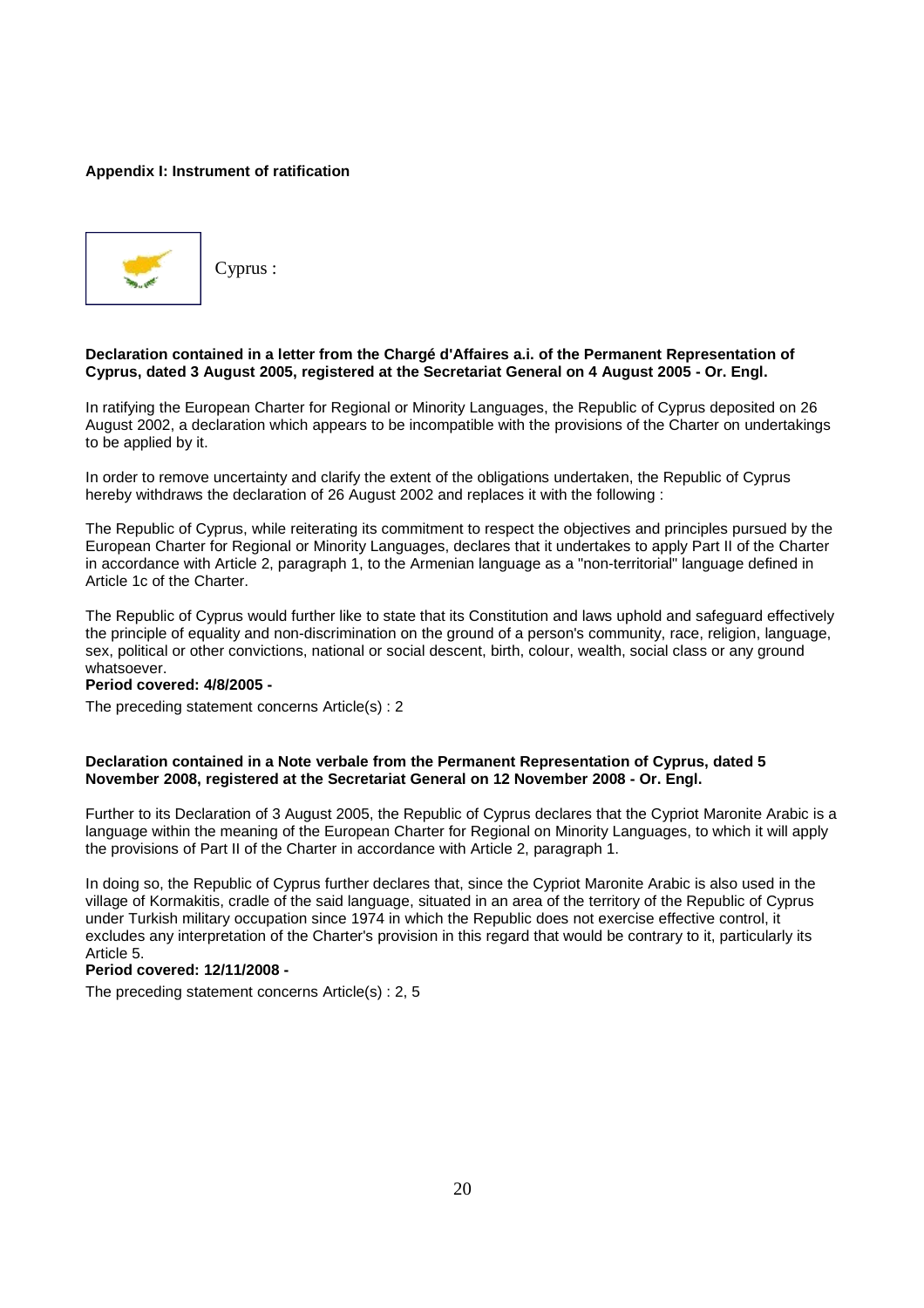### **Appendix I: Instrument of ratification**



Cyprus :

### **Declaration contained in a letter from the Chargé d'Affaires a.i. of the Permanent Representation of Cyprus, dated 3 August 2005, registered at the Secretariat General on 4 August 2005 - Or. Engl.**

In ratifying the European Charter for Regional or Minority Languages, the Republic of Cyprus deposited on 26 August 2002, a declaration which appears to be incompatible with the provisions of the Charter on undertakings to be applied by it.

In order to remove uncertainty and clarify the extent of the obligations undertaken, the Republic of Cyprus hereby withdraws the declaration of 26 August 2002 and replaces it with the following :

The Republic of Cyprus, while reiterating its commitment to respect the objectives and principles pursued by the European Charter for Regional or Minority Languages, declares that it undertakes to apply Part II of the Charter in accordance with Article 2, paragraph 1, to the Armenian language as a "non-territorial" language defined in Article 1c of the Charter.

The Republic of Cyprus would further like to state that its Constitution and laws uphold and safeguard effectively the principle of equality and non-discrimination on the ground of a person's community, race, religion, language, sex, political or other convictions, national or social descent, birth, colour, wealth, social class or any ground whatsoever.

#### **Period covered: 4/8/2005 -**

The preceding statement concerns Article(s) : 2

### **Declaration contained in a Note verbale from the Permanent Representation of Cyprus, dated 5 November 2008, registered at the Secretariat General on 12 November 2008 - Or. Engl.**

Further to its Declaration of 3 August 2005, the Republic of Cyprus declares that the Cypriot Maronite Arabic is a language within the meaning of the European Charter for Regional on Minority Languages, to which it will apply the provisions of Part II of the Charter in accordance with Article 2, paragraph 1.

In doing so, the Republic of Cyprus further declares that, since the Cypriot Maronite Arabic is also used in the village of Kormakitis, cradle of the said language, situated in an area of the territory of the Republic of Cyprus under Turkish military occupation since 1974 in which the Republic does not exercise effective control, it excludes any interpretation of the Charter's provision in this regard that would be contrary to it, particularly its Article 5.

### **Period covered: 12/11/2008 -**

The preceding statement concerns Article(s) : 2, 5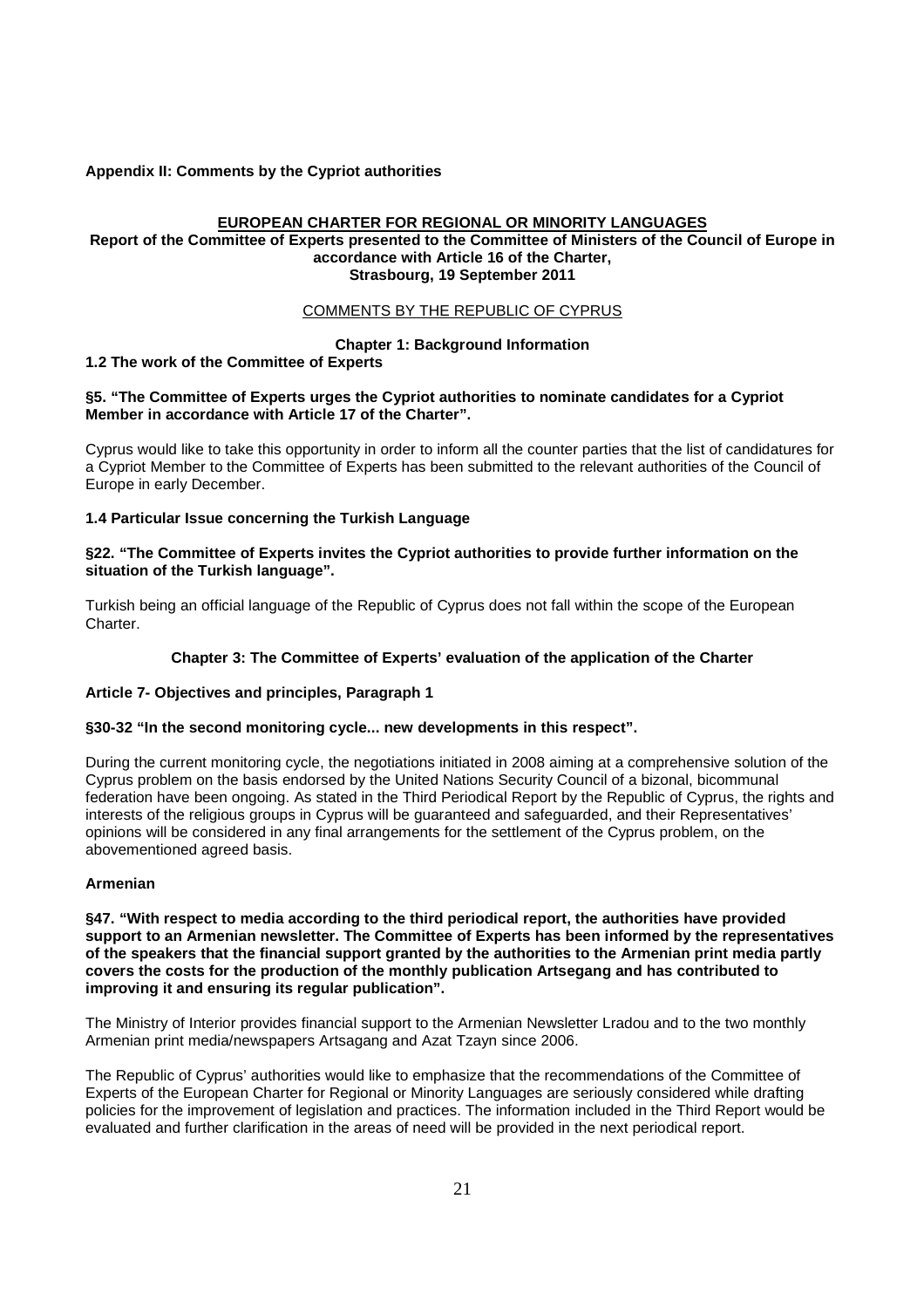### **Appendix II: Comments by the Cypriot authorities**

### **EUROPEAN CHARTER FOR REGIONAL OR MINORITY LANGUAGES**

### **Report of the Committee of Experts presented to the Committee of Ministers of the Council of Europe in accordance with Article 16 of the Charter, Strasbourg, 19 September 2011**

### COMMENTS BY THE REPUBLIC OF CYPRUS

### **Chapter 1: Background Information**

### **1.2 The work of the Committee of Experts**

### **§5. "The Committee of Experts urges the Cypriot authorities to nominate candidates for a Cypriot Member in accordance with Article 17 of the Charter".**

Cyprus would like to take this opportunity in order to inform all the counter parties that the list of candidatures for a Cypriot Member to the Committee of Experts has been submitted to the relevant authorities of the Council of Europe in early December.

### **1.4 Particular Issue concerning the Turkish Language**

### **§22. "The Committee of Experts invites the Cypriot authorities to provide further information on the situation of the Turkish language".**

Turkish being an official language of the Republic of Cyprus does not fall within the scope of the European **Charter** 

### **Chapter 3: The Committee of Experts' evaluation of the application of the Charter**

### **Article 7- Objectives and principles, Paragraph 1**

### **§30-32 "In the second monitoring cycle... new developments in this respect".**

During the current monitoring cycle, the negotiations initiated in 2008 aiming at a comprehensive solution of the Cyprus problem on the basis endorsed by the United Nations Security Council of a bizonal, bicommunal federation have been ongoing. As stated in the Third Periodical Report by the Republic of Cyprus, the rights and interests of the religious groups in Cyprus will be guaranteed and safeguarded, and their Representatives' opinions will be considered in any final arrangements for the settlement of the Cyprus problem, on the abovementioned agreed basis.

### **Armenian**

**§47. "With respect to media according to the third periodical report, the authorities have provided support to an Armenian newsletter. The Committee of Experts has been informed by the representatives of the speakers that the financial support granted by the authorities to the Armenian print media partly covers the costs for the production of the monthly publication Artsegang and has contributed to improving it and ensuring its regular publication".** 

The Ministry of Interior provides financial support to the Armenian Newsletter Lradou and to the two monthly Armenian print media/newspapers Artsagang and Azat Tzayn since 2006.

The Republic of Cyprus' authorities would like to emphasize that the recommendations of the Committee of Experts of the European Charter for Regional or Minority Languages are seriously considered while drafting policies for the improvement of legislation and practices. The information included in the Third Report would be evaluated and further clarification in the areas of need will be provided in the next periodical report.